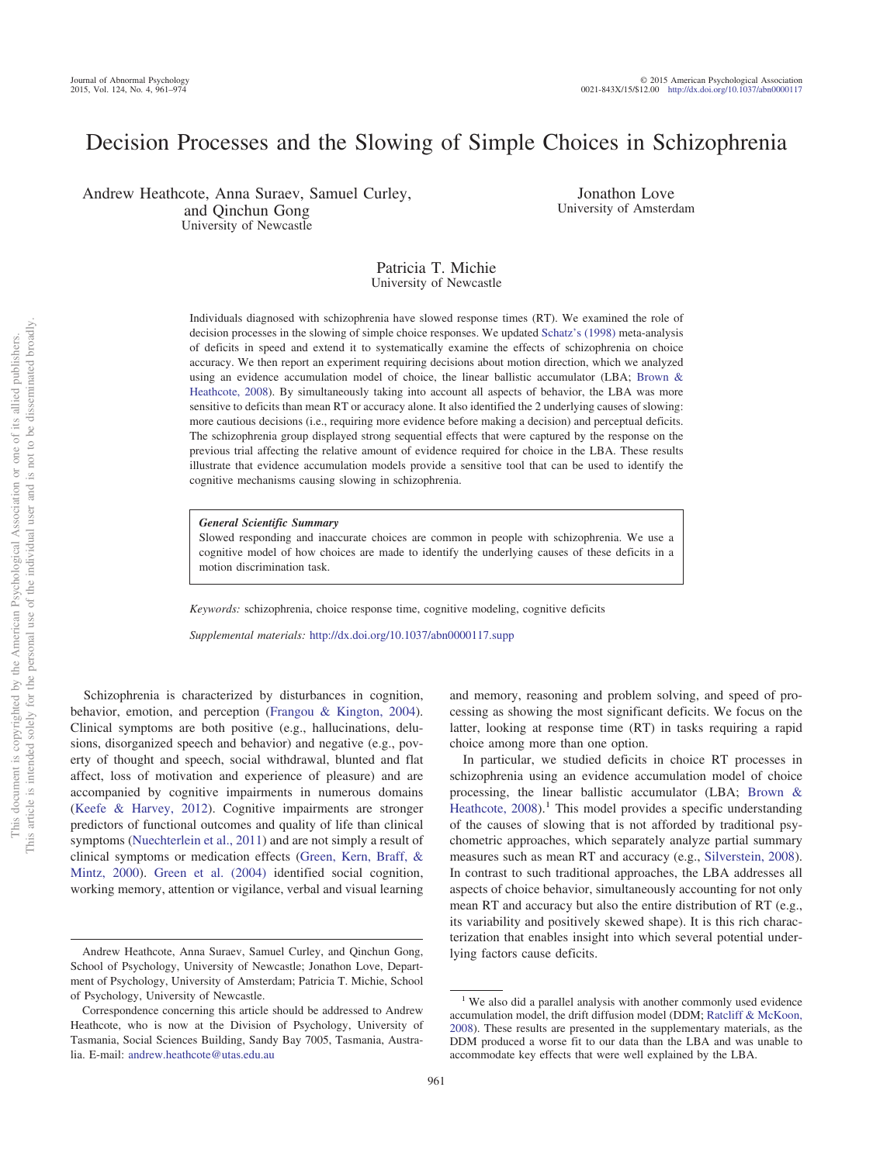# Decision Processes and the Slowing of Simple Choices in Schizophrenia

Andrew Heathcote, Anna Suraev, Samuel Curley, and Qinchun Gong University of Newcastle

Jonathon Love University of Amsterdam

## Patricia T. Michie University of Newcastle

Individuals diagnosed with schizophrenia have slowed response times (RT). We examined the role of decision processes in the slowing of simple choice responses. We updated [Schatz's \(1998\)](#page-12-0) meta-analysis of deficits in speed and extend it to systematically examine the effects of schizophrenia on choice accuracy. We then report an experiment requiring decisions about motion direction, which we analyzed using an evidence accumulation model of choice, the linear ballistic accumulator (LBA; [Brown &](#page-11-0) [Heathcote, 2008\)](#page-11-0). By simultaneously taking into account all aspects of behavior, the LBA was more sensitive to deficits than mean RT or accuracy alone. It also identified the 2 underlying causes of slowing: more cautious decisions (i.e., requiring more evidence before making a decision) and perceptual deficits. The schizophrenia group displayed strong sequential effects that were captured by the response on the previous trial affecting the relative amount of evidence required for choice in the LBA. These results illustrate that evidence accumulation models provide a sensitive tool that can be used to identify the cognitive mechanisms causing slowing in schizophrenia.

## *General Scientific Summary*

Slowed responding and inaccurate choices are common in people with schizophrenia. We use a cognitive model of how choices are made to identify the underlying causes of these deficits in a motion discrimination task.

*Keywords:* schizophrenia, choice response time, cognitive modeling, cognitive deficits

*Supplemental materials:* http://dx.doi.org[/10.1037/abn0000117.supp](http://dx.doi.org/10.1037/abn0000117.supp)

Schizophrenia is characterized by disturbances in cognition, behavior, emotion, and perception [\(Frangou & Kington, 2004\)](#page-11-1). Clinical symptoms are both positive (e.g., hallucinations, delusions, disorganized speech and behavior) and negative (e.g., poverty of thought and speech, social withdrawal, blunted and flat affect, loss of motivation and experience of pleasure) and are accompanied by cognitive impairments in numerous domains [\(Keefe & Harvey, 2012\)](#page-11-2). Cognitive impairments are stronger predictors of functional outcomes and quality of life than clinical symptoms [\(Nuechterlein et al., 2011\)](#page-12-1) and are not simply a result of clinical symptoms or medication effects [\(Green, Kern, Braff, &](#page-11-3) [Mintz, 2000\)](#page-11-3). [Green et al. \(2004\)](#page-11-4) identified social cognition, working memory, attention or vigilance, verbal and visual learning

not to be disseminated broadly one of its allied publishers.

 $\overleftarrow{\mathrm{O}}$  $\widetilde{\Xi}$ 

> and memory, reasoning and problem solving, and speed of processing as showing the most significant deficits. We focus on the latter, looking at response time (RT) in tasks requiring a rapid choice among more than one option.

> In particular, we studied deficits in choice RT processes in schizophrenia using an evidence accumulation model of choice processing, the linear ballistic accumulator (LBA; [Brown &](#page-11-0) Heathcote,  $2008$ ).<sup>1</sup> This model provides a specific understanding of the causes of slowing that is not afforded by traditional psychometric approaches, which separately analyze partial summary measures such as mean RT and accuracy (e.g., [Silverstein, 2008\)](#page-12-2). In contrast to such traditional approaches, the LBA addresses all aspects of choice behavior, simultaneously accounting for not only mean RT and accuracy but also the entire distribution of RT (e.g., its variability and positively skewed shape). It is this rich characterization that enables insight into which several potential underlying factors cause deficits.

Andrew Heathcote, Anna Suraev, Samuel Curley, and Qinchun Gong, School of Psychology, University of Newcastle; Jonathon Love, Department of Psychology, University of Amsterdam; Patricia T. Michie, School of Psychology, University of Newcastle.

Correspondence concerning this article should be addressed to Andrew Heathcote, who is now at the Division of Psychology, University of Tasmania, Social Sciences Building, Sandy Bay 7005, Tasmania, Australia. E-mail: [andrew.heathcote@utas.edu.au](mailto:andrew.heathcote@utas.edu.au)

<sup>&</sup>lt;sup>1</sup> We also did a parallel analysis with another commonly used evidence accumulation model, the drift diffusion model (DDM; [Ratcliff & McKoon,](#page-12-3) [2008\)](#page-12-3). These results are presented in the supplementary materials, as the DDM produced a worse fit to our data than the LBA and was unable to accommodate key effects that were well explained by the LBA.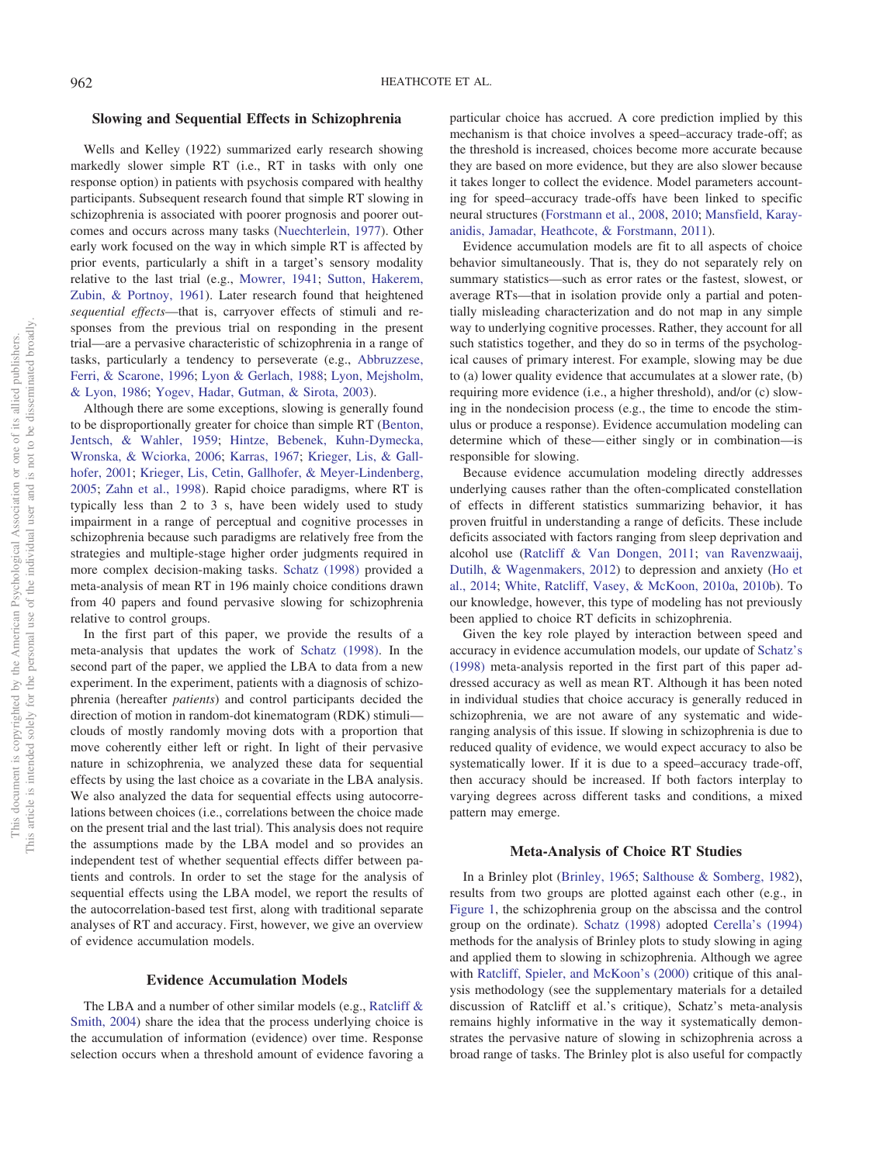## **Slowing and Sequential Effects in Schizophrenia**

Wells and Kelley (1922) summarized early research showing markedly slower simple RT (i.e., RT in tasks with only one response option) in patients with psychosis compared with healthy participants. Subsequent research found that simple RT slowing in schizophrenia is associated with poorer prognosis and poorer outcomes and occurs across many tasks [\(Nuechterlein, 1977\)](#page-12-4). Other early work focused on the way in which simple RT is affected by prior events, particularly a shift in a target's sensory modality relative to the last trial (e.g., [Mowrer, 1941;](#page-12-5) [Sutton, Hakerem,](#page-12-6) [Zubin, & Portnoy, 1961\)](#page-12-6). Later research found that heightened *sequential effects*—that is, carryover effects of stimuli and responses from the previous trial on responding in the present trial—are a pervasive characteristic of schizophrenia in a range of tasks, particularly a tendency to perseverate (e.g., [Abbruzzese,](#page-11-5) [Ferri, & Scarone, 1996;](#page-11-5) [Lyon & Gerlach, 1988;](#page-12-7) [Lyon, Mejsholm,](#page-12-8) [& Lyon, 1986;](#page-12-8) [Yogev, Hadar, Gutman, & Sirota, 2003\)](#page-13-0).

Although there are some exceptions, slowing is generally found to be disproportionally greater for choice than simple RT [\(Benton,](#page-11-6) [Jentsch, & Wahler, 1959;](#page-11-6) [Hintze, Bebenek, Kuhn-Dymecka,](#page-11-7) [Wronska, & Wciorka, 2006;](#page-11-7) [Karras, 1967;](#page-11-8) [Krieger, Lis, & Gall](#page-12-9)[hofer, 2001;](#page-12-9) [Krieger, Lis, Cetin, Gallhofer, & Meyer-Lindenberg,](#page-12-10) [2005;](#page-12-10) [Zahn et al., 1998\)](#page-13-1). Rapid choice paradigms, where RT is typically less than 2 to 3 s, have been widely used to study impairment in a range of perceptual and cognitive processes in schizophrenia because such paradigms are relatively free from the strategies and multiple-stage higher order judgments required in more complex decision-making tasks. [Schatz \(1998\)](#page-12-0) provided a meta-analysis of mean RT in 196 mainly choice conditions drawn from 40 papers and found pervasive slowing for schizophrenia relative to control groups.

In the first part of this paper, we provide the results of a meta-analysis that updates the work of [Schatz \(1998\).](#page-12-0) In the second part of the paper, we applied the LBA to data from a new experiment. In the experiment, patients with a diagnosis of schizophrenia (hereafter *patients*) and control participants decided the direction of motion in random-dot kinematogram (RDK) stimuli clouds of mostly randomly moving dots with a proportion that move coherently either left or right. In light of their pervasive nature in schizophrenia, we analyzed these data for sequential effects by using the last choice as a covariate in the LBA analysis. We also analyzed the data for sequential effects using autocorrelations between choices (i.e., correlations between the choice made on the present trial and the last trial). This analysis does not require the assumptions made by the LBA model and so provides an independent test of whether sequential effects differ between patients and controls. In order to set the stage for the analysis of sequential effects using the LBA model, we report the results of the autocorrelation-based test first, along with traditional separate analyses of RT and accuracy. First, however, we give an overview of evidence accumulation models.

## **Evidence Accumulation Models**

The LBA and a number of other similar models (e.g., [Ratcliff &](#page-12-11) [Smith, 2004\)](#page-12-11) share the idea that the process underlying choice is the accumulation of information (evidence) over time. Response selection occurs when a threshold amount of evidence favoring a particular choice has accrued. A core prediction implied by this mechanism is that choice involves a speed–accuracy trade-off; as the threshold is increased, choices become more accurate because they are based on more evidence, but they are also slower because it takes longer to collect the evidence. Model parameters accounting for speed–accuracy trade-offs have been linked to specific neural structures [\(Forstmann et al., 2008,](#page-11-9) [2010;](#page-11-10) [Mansfield, Karay](#page-12-12)[anidis, Jamadar, Heathcote, & Forstmann, 2011\)](#page-12-12).

Evidence accumulation models are fit to all aspects of choice behavior simultaneously. That is, they do not separately rely on summary statistics—such as error rates or the fastest, slowest, or average RTs—that in isolation provide only a partial and potentially misleading characterization and do not map in any simple way to underlying cognitive processes. Rather, they account for all such statistics together, and they do so in terms of the psychological causes of primary interest. For example, slowing may be due to (a) lower quality evidence that accumulates at a slower rate, (b) requiring more evidence (i.e., a higher threshold), and/or (c) slowing in the nondecision process (e.g., the time to encode the stimulus or produce a response). Evidence accumulation modeling can determine which of these—either singly or in combination—is responsible for slowing.

Because evidence accumulation modeling directly addresses underlying causes rather than the often-complicated constellation of effects in different statistics summarizing behavior, it has proven fruitful in understanding a range of deficits. These include deficits associated with factors ranging from sleep deprivation and alcohol use [\(Ratcliff & Van Dongen, 2011;](#page-12-13) [van Ravenzwaaij,](#page-12-14) [Dutilh, & Wagenmakers, 2012\)](#page-12-14) to depression and anxiety [\(Ho et](#page-11-11) [al., 2014;](#page-11-11) [White, Ratcliff, Vasey, & McKoon, 2010a,](#page-13-2) [2010b\)](#page-13-3). To our knowledge, however, this type of modeling has not previously been applied to choice RT deficits in schizophrenia.

Given the key role played by interaction between speed and accuracy in evidence accumulation models, our update of [Schatz's](#page-12-0) [\(1998\)](#page-12-0) meta-analysis reported in the first part of this paper addressed accuracy as well as mean RT. Although it has been noted in individual studies that choice accuracy is generally reduced in schizophrenia, we are not aware of any systematic and wideranging analysis of this issue. If slowing in schizophrenia is due to reduced quality of evidence, we would expect accuracy to also be systematically lower. If it is due to a speed–accuracy trade-off, then accuracy should be increased. If both factors interplay to varying degrees across different tasks and conditions, a mixed pattern may emerge.

## **Meta-Analysis of Choice RT Studies**

In a Brinley plot [\(Brinley, 1965;](#page-11-12) [Salthouse & Somberg, 1982\)](#page-12-15), results from two groups are plotted against each other (e.g., in [Figure 1,](#page-2-0) the schizophrenia group on the abscissa and the control group on the ordinate). [Schatz \(1998\)](#page-12-0) adopted [Cerella's \(1994\)](#page-11-13) methods for the analysis of Brinley plots to study slowing in aging and applied them to slowing in schizophrenia. Although we agree with [Ratcliff, Spieler, and McKoon's \(2000\)](#page-12-16) critique of this analysis methodology (see the supplementary materials for a detailed discussion of Ratcliff et al.'s critique), Schatz's meta-analysis remains highly informative in the way it systematically demonstrates the pervasive nature of slowing in schizophrenia across a broad range of tasks. The Brinley plot is also useful for compactly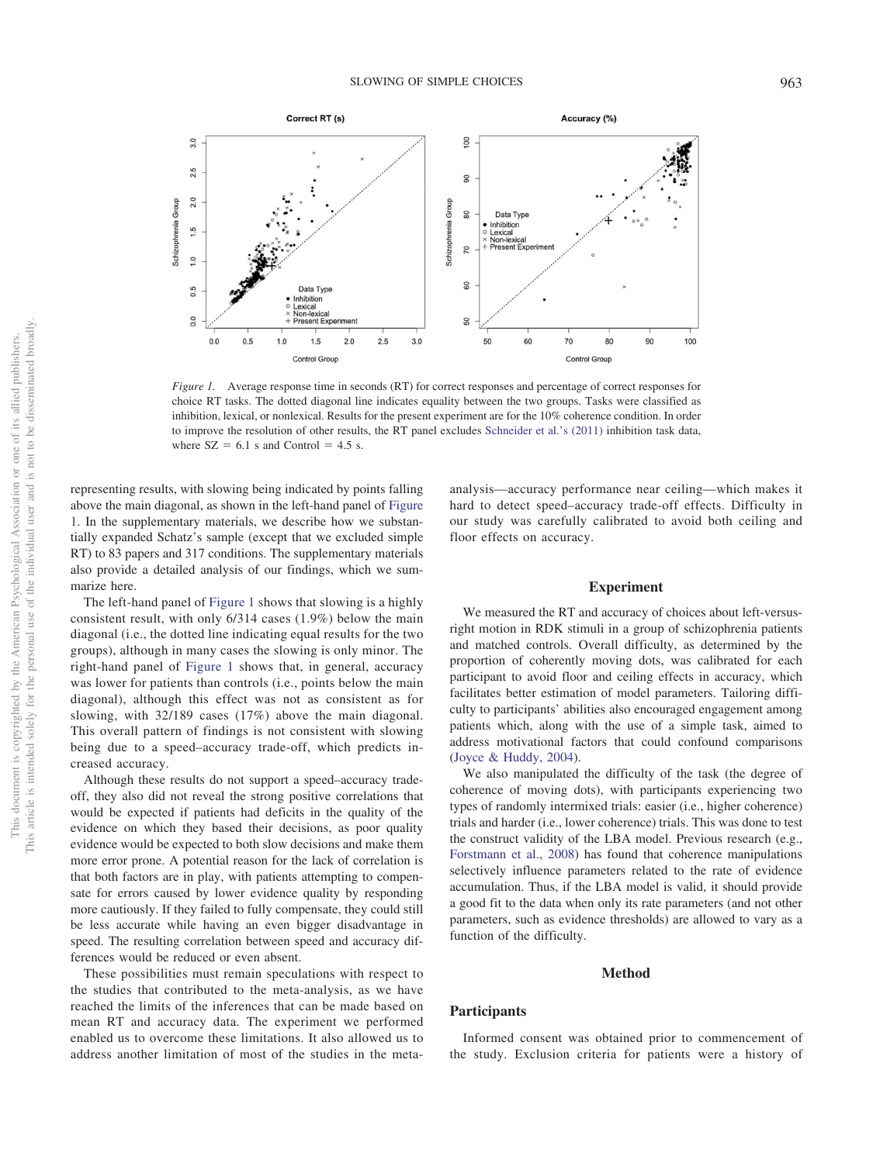

<span id="page-2-0"></span>*Figure 1.* Average response time in seconds (RT) for correct responses and percentage of correct responses for choice RT tasks. The dotted diagonal line indicates equality between the two groups. Tasks were classified as inhibition, lexical, or nonlexical. Results for the present experiment are for the 10% coherence condition. In order to improve the resolution of other results, the RT panel excludes [Schneider et al.'s \(2011\)](#page-12-17) inhibition task data, where  $SZ = 6.1$  s and Control = 4.5 s.

representing results, with slowing being indicated by points falling above the main diagonal, as shown in the left-hand panel of [Figure](#page-2-0) [1.](#page-2-0) In the supplementary materials, we describe how we substantially expanded Schatz's sample (except that we excluded simple RT) to 83 papers and 317 conditions. The supplementary materials also provide a detailed analysis of our findings, which we summarize here.

The left-hand panel of [Figure 1](#page-2-0) shows that slowing is a highly consistent result, with only 6/314 cases (1.9%) below the main diagonal (i.e., the dotted line indicating equal results for the two groups), although in many cases the slowing is only minor. The right-hand panel of [Figure 1](#page-2-0) shows that, in general, accuracy was lower for patients than controls (i.e., points below the main diagonal), although this effect was not as consistent as for slowing, with 32/189 cases (17%) above the main diagonal. This overall pattern of findings is not consistent with slowing being due to a speed–accuracy trade-off, which predicts increased accuracy.

Although these results do not support a speed–accuracy tradeoff, they also did not reveal the strong positive correlations that would be expected if patients had deficits in the quality of the evidence on which they based their decisions, as poor quality evidence would be expected to both slow decisions and make them more error prone. A potential reason for the lack of correlation is that both factors are in play, with patients attempting to compensate for errors caused by lower evidence quality by responding more cautiously. If they failed to fully compensate, they could still be less accurate while having an even bigger disadvantage in speed. The resulting correlation between speed and accuracy differences would be reduced or even absent.

These possibilities must remain speculations with respect to the studies that contributed to the meta-analysis, as we have reached the limits of the inferences that can be made based on mean RT and accuracy data. The experiment we performed enabled us to overcome these limitations. It also allowed us to address another limitation of most of the studies in the metaanalysis—accuracy performance near ceiling—which makes it hard to detect speed–accuracy trade-off effects. Difficulty in our study was carefully calibrated to avoid both ceiling and floor effects on accuracy.

### **Experiment**

We measured the RT and accuracy of choices about left-versusright motion in RDK stimuli in a group of schizophrenia patients and matched controls. Overall difficulty, as determined by the proportion of coherently moving dots, was calibrated for each participant to avoid floor and ceiling effects in accuracy, which facilitates better estimation of model parameters. Tailoring difficulty to participants' abilities also encouraged engagement among patients which, along with the use of a simple task, aimed to address motivational factors that could confound comparisons [\(Joyce & Huddy, 2004\)](#page-11-14).

We also manipulated the difficulty of the task (the degree of coherence of moving dots), with participants experiencing two types of randomly intermixed trials: easier (i.e., higher coherence) trials and harder (i.e., lower coherence) trials. This was done to test the construct validity of the LBA model. Previous research (e.g., [Forstmann et al., 2008\)](#page-11-9) has found that coherence manipulations selectively influence parameters related to the rate of evidence accumulation. Thus, if the LBA model is valid, it should provide a good fit to the data when only its rate parameters (and not other parameters, such as evidence thresholds) are allowed to vary as a function of the difficulty.

## **Method**

#### **Participants**

Informed consent was obtained prior to commencement of the study. Exclusion criteria for patients were a history of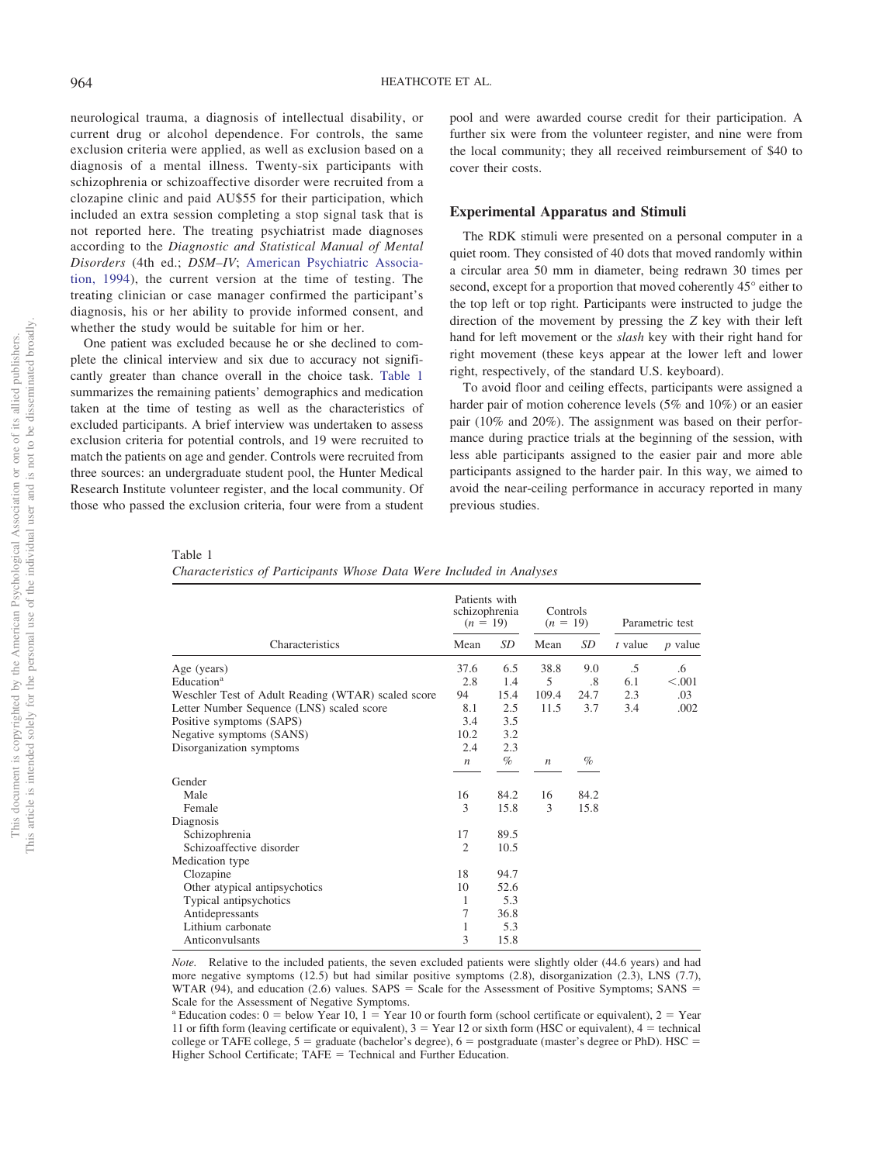neurological trauma, a diagnosis of intellectual disability, or current drug or alcohol dependence. For controls, the same exclusion criteria were applied, as well as exclusion based on a diagnosis of a mental illness. Twenty-six participants with schizophrenia or schizoaffective disorder were recruited from a clozapine clinic and paid AU\$55 for their participation, which included an extra session completing a stop signal task that is not reported here. The treating psychiatrist made diagnoses according to the *Diagnostic and Statistical Manual of Mental Disorders* (4th ed.; *DSM–IV*; [American Psychiatric Associa](#page-11-15)[tion, 1994\)](#page-11-15), the current version at the time of testing. The treating clinician or case manager confirmed the participant's diagnosis, his or her ability to provide informed consent, and whether the study would be suitable for him or her.

One patient was excluded because he or she declined to complete the clinical interview and six due to accuracy not significantly greater than chance overall in the choice task. [Table 1](#page-3-0) summarizes the remaining patients' demographics and medication taken at the time of testing as well as the characteristics of excluded participants. A brief interview was undertaken to assess exclusion criteria for potential controls, and 19 were recruited to match the patients on age and gender. Controls were recruited from three sources: an undergraduate student pool, the Hunter Medical Research Institute volunteer register, and the local community. Of those who passed the exclusion criteria, four were from a student

pool and were awarded course credit for their participation. A further six were from the volunteer register, and nine were from the local community; they all received reimbursement of \$40 to cover their costs.

## **Experimental Apparatus and Stimuli**

The RDK stimuli were presented on a personal computer in a quiet room. They consisted of 40 dots that moved randomly within a circular area 50 mm in diameter, being redrawn 30 times per second, except for a proportion that moved coherently 45° either to the top left or top right. Participants were instructed to judge the direction of the movement by pressing the *Z* key with their left hand for left movement or the *slash* key with their right hand for right movement (these keys appear at the lower left and lower right, respectively, of the standard U.S. keyboard).

To avoid floor and ceiling effects, participants were assigned a harder pair of motion coherence levels (5% and 10%) or an easier pair (10% and 20%). The assignment was based on their performance during practice trials at the beginning of the session, with less able participants assigned to the easier pair and more able participants assigned to the harder pair. In this way, we aimed to avoid the near-ceiling performance in accuracy reported in many previous studies.

<span id="page-3-0"></span>Table 1

| Characteristics of Participants Whose Data Were Included in Analyses |  |  |  |  |  |  |  |  |
|----------------------------------------------------------------------|--|--|--|--|--|--|--|--|
|----------------------------------------------------------------------|--|--|--|--|--|--|--|--|

|                                                    | Patients with<br>schizophrenia<br>$(n = 19)$ |      | Controls<br>$(n = 19)$ |      | Parametric test |           |
|----------------------------------------------------|----------------------------------------------|------|------------------------|------|-----------------|-----------|
| Characteristics                                    |                                              | SD   | Mean                   | SD   | $t$ value       | $p$ value |
| Age (years)                                        | 37.6                                         | 6.5  | 38.8                   | 9.0  | .5              | .6        |
| Education <sup>a</sup>                             | 2.8                                          | 1.4  | 5                      | .8   | 6.1             | < 0.001   |
| Weschler Test of Adult Reading (WTAR) scaled score | 94                                           | 15.4 | 109.4                  | 24.7 | 2.3             | .03       |
| Letter Number Sequence (LNS) scaled score          | 8.1                                          | 2.5  | 11.5                   | 3.7  | 3.4             | .002      |
| Positive symptoms (SAPS)                           | 3.4                                          | 3.5  |                        |      |                 |           |
| Negative symptoms (SANS)                           | 10.2                                         | 3.2  |                        |      |                 |           |
| Disorganization symptoms                           | 2.4                                          | 2.3  |                        |      |                 |           |
|                                                    | $\boldsymbol{n}$                             | $\%$ | $\boldsymbol{n}$       | $\%$ |                 |           |
| Gender                                             |                                              |      |                        |      |                 |           |
| Male                                               | 16                                           | 84.2 | 16                     | 84.2 |                 |           |
| Female                                             | 3                                            | 15.8 | 3                      | 15.8 |                 |           |
| Diagnosis                                          |                                              |      |                        |      |                 |           |
| Schizophrenia                                      | 17                                           | 89.5 |                        |      |                 |           |
| Schizoaffective disorder                           | $\overline{c}$                               | 10.5 |                        |      |                 |           |
| Medication type                                    |                                              |      |                        |      |                 |           |
| Clozapine                                          | 18                                           | 94.7 |                        |      |                 |           |
| Other atypical antipsychotics                      | 10                                           | 52.6 |                        |      |                 |           |
| Typical antipsychotics                             | 1                                            | 5.3  |                        |      |                 |           |
| Antidepressants                                    | 7                                            | 36.8 |                        |      |                 |           |
| Lithium carbonate                                  | 1                                            | 5.3  |                        |      |                 |           |
| Anticonvulsants                                    | 3                                            | 15.8 |                        |      |                 |           |

*Note.* Relative to the included patients, the seven excluded patients were slightly older (44.6 years) and had more negative symptoms (12.5) but had similar positive symptoms (2.8), disorganization (2.3), LNS (7.7), WTAR (94), and education  $(2.6)$  values. SAPS = Scale for the Assessment of Positive Symptoms; SANS = Scale for the Assessment of Negative Symptoms.

<sup>a</sup> Education codes:  $0 =$  below Year 10,  $1 =$ Year 10 or fourth form (school certificate or equivalent),  $2 =$ Year 11 or fifth form (leaving certificate or equivalent),  $3 =$  Year 12 or sixth form (HSC or equivalent),  $4 =$  technical college or TAFE college,  $5 =$  graduate (bachelor's degree),  $6 =$  postgraduate (master's degree or PhD). HSC = Higher School Certificate; TAFE = Technical and Further Education.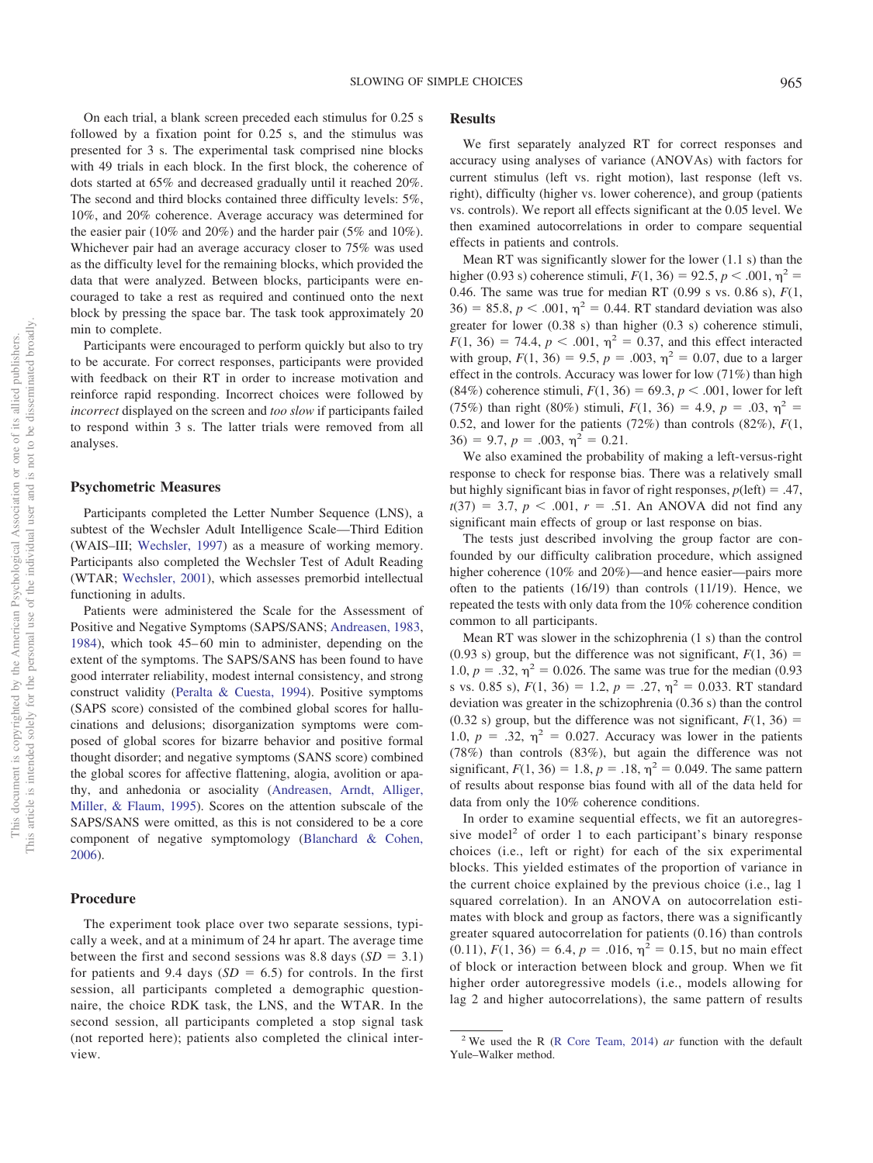On each trial, a blank screen preceded each stimulus for 0.25 s followed by a fixation point for 0.25 s, and the stimulus was presented for 3 s. The experimental task comprised nine blocks with 49 trials in each block. In the first block, the coherence of dots started at 65% and decreased gradually until it reached 20%. The second and third blocks contained three difficulty levels: 5%, 10%, and 20% coherence. Average accuracy was determined for the easier pair (10% and 20%) and the harder pair (5% and 10%). Whichever pair had an average accuracy closer to 75% was used as the difficulty level for the remaining blocks, which provided the data that were analyzed. Between blocks, participants were encouraged to take a rest as required and continued onto the next block by pressing the space bar. The task took approximately 20 min to complete.

Participants were encouraged to perform quickly but also to try to be accurate. For correct responses, participants were provided with feedback on their RT in order to increase motivation and reinforce rapid responding. Incorrect choices were followed by *incorrect* displayed on the screen and *too slow* if participants failed to respond within 3 s. The latter trials were removed from all analyses.

#### **Psychometric Measures**

Participants completed the Letter Number Sequence (LNS), a subtest of the Wechsler Adult Intelligence Scale—Third Edition (WAIS–III; [Wechsler, 1997\)](#page-12-18) as a measure of working memory. Participants also completed the Wechsler Test of Adult Reading (WTAR; [Wechsler, 2001\)](#page-12-19), which assesses premorbid intellectual functioning in adults.

Patients were administered the Scale for the Assessment of Positive and Negative Symptoms (SAPS/SANS; [Andreasen, 1983,](#page-11-16) [1984\)](#page-11-17), which took 45–60 min to administer, depending on the extent of the symptoms. The SAPS/SANS has been found to have good interrater reliability, modest internal consistency, and strong construct validity [\(Peralta & Cuesta, 1994\)](#page-12-20). Positive symptoms (SAPS score) consisted of the combined global scores for hallucinations and delusions; disorganization symptoms were composed of global scores for bizarre behavior and positive formal thought disorder; and negative symptoms (SANS score) combined the global scores for affective flattening, alogia, avolition or apathy, and anhedonia or asociality [\(Andreasen, Arndt, Alliger,](#page-11-18) [Miller, & Flaum, 1995\)](#page-11-18). Scores on the attention subscale of the SAPS/SANS were omitted, as this is not considered to be a core component of negative symptomology [\(Blanchard & Cohen,](#page-11-19) [2006\)](#page-11-19).

#### **Procedure**

The experiment took place over two separate sessions, typically a week, and at a minimum of 24 hr apart. The average time between the first and second sessions was 8.8 days  $(SD = 3.1)$ for patients and 9.4 days  $(SD = 6.5)$  for controls. In the first session, all participants completed a demographic questionnaire, the choice RDK task, the LNS, and the WTAR. In the second session, all participants completed a stop signal task (not reported here); patients also completed the clinical interview.

## **Results**

We first separately analyzed RT for correct responses and accuracy using analyses of variance (ANOVAs) with factors for current stimulus (left vs. right motion), last response (left vs. right), difficulty (higher vs. lower coherence), and group (patients vs. controls). We report all effects significant at the 0.05 level. We then examined autocorrelations in order to compare sequential effects in patients and controls.

Mean RT was significantly slower for the lower (1.1 s) than the higher (0.93 s) coherence stimuli,  $F(1, 36) = 92.5, p < .001, \eta^2 =$ 0.46. The same was true for median RT (0.99 s vs. 0.86 s), *F*(1,  $36$  = 85.8,  $p < .001$ ,  $\eta^2 = 0.44$ . RT standard deviation was also greater for lower (0.38 s) than higher (0.3 s) coherence stimuli,  $F(1, 36) = 74.4, p < .001, \eta^2 = 0.37$ , and this effect interacted with group,  $F(1, 36) = 9.5$ ,  $p = .003$ ,  $\eta^2 = 0.07$ , due to a larger effect in the controls. Accuracy was lower for low (71%) than high  $(84\%)$  coherence stimuli,  $F(1, 36) = 69.3$ ,  $p < .001$ , lower for left (75%) than right (80%) stimuli,  $F(1, 36) = 4.9$ ,  $p = .03$ ,  $\eta^2 =$ 0.52, and lower for the patients (72%) than controls (82%), *F*(1,  $36) = 9.7, p = .003, \eta^2 = 0.21.$ 

We also examined the probability of making a left-versus-right response to check for response bias. There was a relatively small but highly significant bias in favor of right responses,  $p(\text{left}) = .47$ ,  $t(37) = 3.7, p < .001, r = .51$ . An ANOVA did not find any significant main effects of group or last response on bias.

The tests just described involving the group factor are confounded by our difficulty calibration procedure, which assigned higher coherence (10% and 20%)—and hence easier—pairs more often to the patients (16/19) than controls (11/19). Hence, we repeated the tests with only data from the 10% coherence condition common to all participants.

Mean RT was slower in the schizophrenia (1 s) than the control (0.93 s) group, but the difference was not significant,  $F(1, 36) =$ 1.0,  $p = .32$ ,  $\eta^2 = 0.026$ . The same was true for the median (0.93) s vs. 0.85 s),  $F(1, 36) = 1.2$ ,  $p = .27$ ,  $\eta^2 = 0.033$ . RT standard deviation was greater in the schizophrenia (0.36 s) than the control (0.32 s) group, but the difference was not significant,  $F(1, 36) =$ 1.0,  $p = .32$ ,  $\eta^2 = 0.027$ . Accuracy was lower in the patients (78%) than controls (83%), but again the difference was not significant,  $F(1, 36) = 1.8$ ,  $p = .18$ ,  $\eta^2 = 0.049$ . The same pattern of results about response bias found with all of the data held for data from only the 10% coherence conditions.

In order to examine sequential effects, we fit an autoregressive model<sup>2</sup> of order 1 to each participant's binary response choices (i.e., left or right) for each of the six experimental blocks. This yielded estimates of the proportion of variance in the current choice explained by the previous choice (i.e., lag 1 squared correlation). In an ANOVA on autocorrelation estimates with block and group as factors, there was a significantly greater squared autocorrelation for patients (0.16) than controls  $(0.11)$ ,  $F(1, 36) = 6.4$ ,  $p = .016$ ,  $\eta^2 = 0.15$ , but no main effect of block or interaction between block and group. When we fit higher order autoregressive models (i.e., models allowing for lag 2 and higher autocorrelations), the same pattern of results

<sup>2</sup> We used the R [\(R Core Team, 2014\)](#page-12-21) *ar* function with the default Yule–Walker method.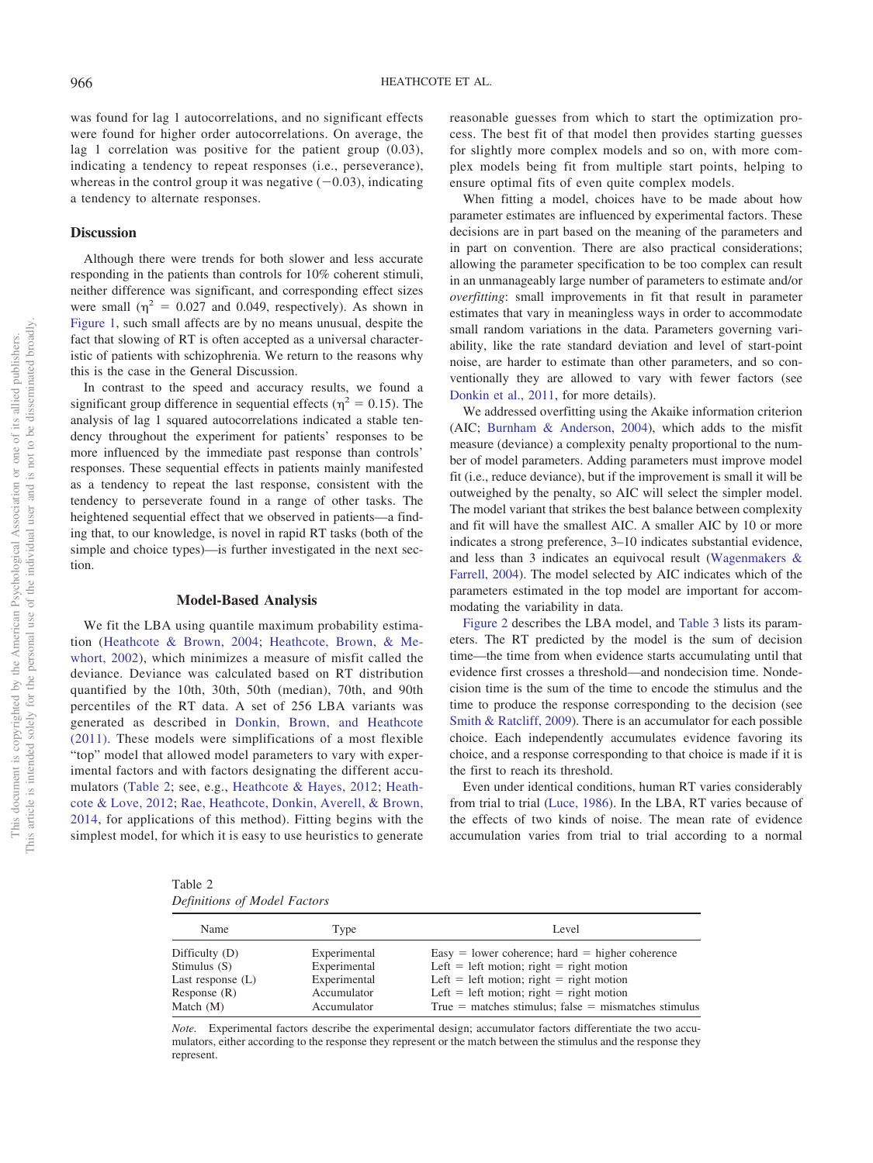was found for lag 1 autocorrelations, and no significant effects were found for higher order autocorrelations. On average, the lag 1 correlation was positive for the patient group (0.03), indicating a tendency to repeat responses (i.e., perseverance), whereas in the control group it was negative  $(-0.03)$ , indicating a tendency to alternate responses.

# **Discussion**

Although there were trends for both slower and less accurate responding in the patients than controls for 10% coherent stimuli, neither difference was significant, and corresponding effect sizes were small ( $\eta^2 = 0.027$  and 0.049, respectively). As shown in [Figure 1,](#page-2-0) such small affects are by no means unusual, despite the fact that slowing of RT is often accepted as a universal characteristic of patients with schizophrenia. We return to the reasons why this is the case in the General Discussion.

In contrast to the speed and accuracy results, we found a significant group difference in sequential effects ( $\eta^2 = 0.15$ ). The analysis of lag 1 squared autocorrelations indicated a stable tendency throughout the experiment for patients' responses to be more influenced by the immediate past response than controls' responses. These sequential effects in patients mainly manifested as a tendency to repeat the last response, consistent with the tendency to perseverate found in a range of other tasks. The heightened sequential effect that we observed in patients—a finding that, to our knowledge, is novel in rapid RT tasks (both of the simple and choice types)—is further investigated in the next section.

## **Model-Based Analysis**

We fit the LBA using quantile maximum probability estimation [\(Heathcote & Brown, 2004;](#page-11-20) [Heathcote, Brown, & Me](#page-11-21)[whort, 2002\)](#page-11-21), which minimizes a measure of misfit called the deviance. Deviance was calculated based on RT distribution quantified by the 10th, 30th, 50th (median), 70th, and 90th percentiles of the RT data. A set of 256 LBA variants was generated as described in [Donkin, Brown, and Heathcote](#page-11-22) [\(2011\).](#page-11-22) These models were simplifications of a most flexible "top" model that allowed model parameters to vary with experimental factors and with factors designating the different accumulators [\(Table 2;](#page-5-0) see, e.g., [Heathcote & Hayes, 2012;](#page-11-23) [Heath](#page-11-24)[cote & Love, 2012;](#page-11-24) [Rae, Heathcote, Donkin, Averell, & Brown,](#page-12-22) [2014,](#page-12-22) for applications of this method). Fitting begins with the simplest model, for which it is easy to use heuristics to generate reasonable guesses from which to start the optimization process. The best fit of that model then provides starting guesses for slightly more complex models and so on, with more complex models being fit from multiple start points, helping to ensure optimal fits of even quite complex models.

When fitting a model, choices have to be made about how parameter estimates are influenced by experimental factors. These decisions are in part based on the meaning of the parameters and in part on convention. There are also practical considerations; allowing the parameter specification to be too complex can result in an unmanageably large number of parameters to estimate and/or *overfitting*: small improvements in fit that result in parameter estimates that vary in meaningless ways in order to accommodate small random variations in the data. Parameters governing variability, like the rate standard deviation and level of start-point noise, are harder to estimate than other parameters, and so conventionally they are allowed to vary with fewer factors (see [Donkin et al., 2011,](#page-11-22) for more details).

We addressed overfitting using the Akaike information criterion (AIC; [Burnham & Anderson, 2004\)](#page-11-25), which adds to the misfit measure (deviance) a complexity penalty proportional to the number of model parameters. Adding parameters must improve model fit (i.e., reduce deviance), but if the improvement is small it will be outweighed by the penalty, so AIC will select the simpler model. The model variant that strikes the best balance between complexity and fit will have the smallest AIC. A smaller AIC by 10 or more indicates a strong preference, 3–10 indicates substantial evidence, and less than 3 indicates an equivocal result [\(Wagenmakers &](#page-12-23) [Farrell, 2004\)](#page-12-23). The model selected by AIC indicates which of the parameters estimated in the top model are important for accommodating the variability in data.

[Figure 2](#page-6-0) describes the LBA model, and [Table 3](#page-7-0) lists its parameters. The RT predicted by the model is the sum of decision time—the time from when evidence starts accumulating until that evidence first crosses a threshold—and nondecision time. Nondecision time is the sum of the time to encode the stimulus and the time to produce the response corresponding to the decision (see [Smith & Ratcliff, 2009\)](#page-12-24). There is an accumulator for each possible choice. Each independently accumulates evidence favoring its choice, and a response corresponding to that choice is made if it is the first to reach its threshold.

Even under identical conditions, human RT varies considerably from trial to trial [\(Luce, 1986\)](#page-12-25). In the LBA, RT varies because of the effects of two kinds of noise. The mean rate of evidence accumulation varies from trial to trial according to a normal

<span id="page-5-0"></span>Table 2 *Definitions of Model Factors*

| Name                | Type         | Level                                                  |
|---------------------|--------------|--------------------------------------------------------|
| Difficulty $(D)$    | Experimental | Easy = lower coherence; hard = higher coherence        |
| Stimulus $(S)$      | Experimental | Left = left motion; right = right motion               |
| Last response $(L)$ | Experimental | Left = left motion; right = right motion               |
| Response $(R)$      | Accumulator  | Left = left motion; right = right motion               |
| Match $(M)$         | Accumulator  | True = matches stimulus; $false$ = mismatches stimulus |

*Note.* Experimental factors describe the experimental design; accumulator factors differentiate the two accumulators, either according to the response they represent or the match between the stimulus and the response they represent.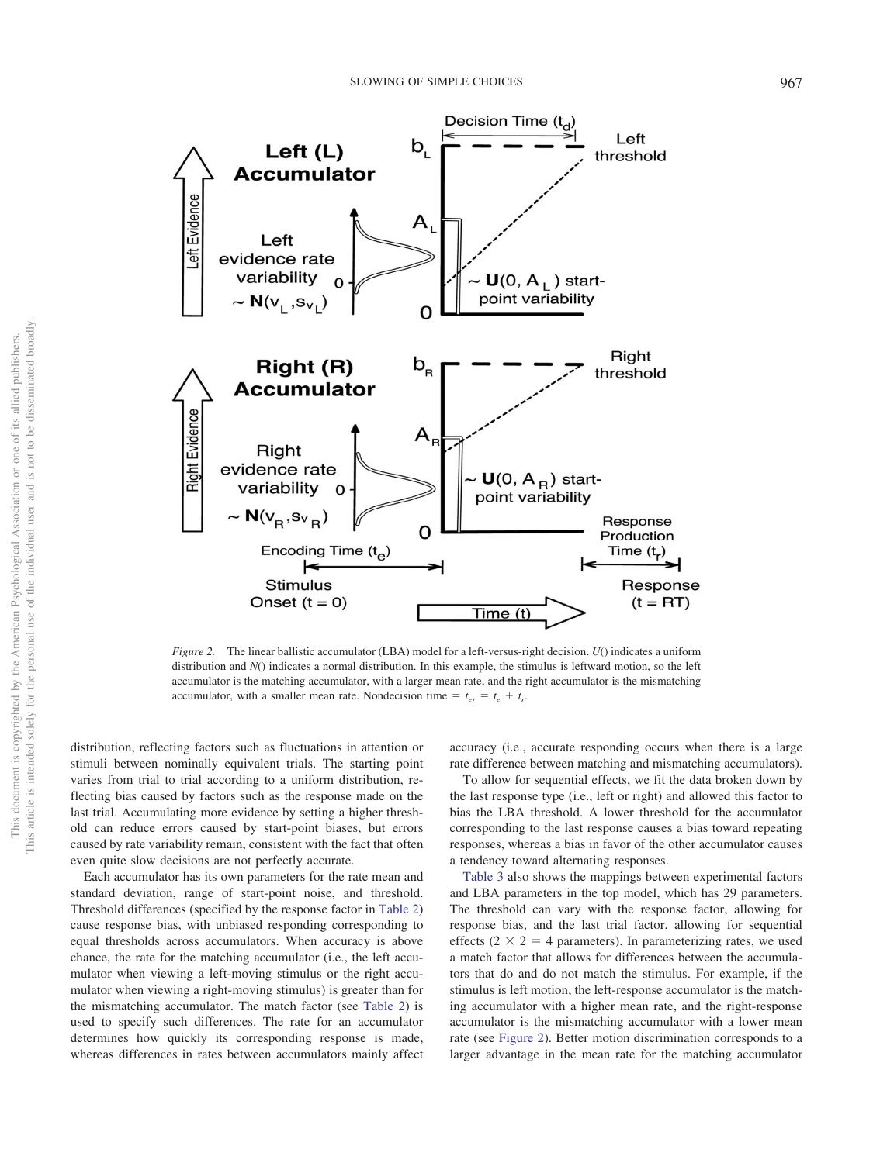

<span id="page-6-0"></span>*Figure 2.* The linear ballistic accumulator (LBA) model for a left-versus-right decision. *U*() indicates a uniform distribution and *N*() indicates a normal distribution. In this example, the stimulus is leftward motion, so the left accumulator is the matching accumulator, with a larger mean rate, and the right accumulator is the mismatching accumulator, with a smaller mean rate. Nondecision time  $= t_{er} = t_e + t_r$ .

distribution, reflecting factors such as fluctuations in attention or stimuli between nominally equivalent trials. The starting point varies from trial to trial according to a uniform distribution, reflecting bias caused by factors such as the response made on the last trial. Accumulating more evidence by setting a higher threshold can reduce errors caused by start-point biases, but errors caused by rate variability remain, consistent with the fact that often even quite slow decisions are not perfectly accurate.

Each accumulator has its own parameters for the rate mean and standard deviation, range of start-point noise, and threshold. Threshold differences (specified by the response factor in [Table 2\)](#page-5-0) cause response bias, with unbiased responding corresponding to equal thresholds across accumulators. When accuracy is above chance, the rate for the matching accumulator (i.e., the left accumulator when viewing a left-moving stimulus or the right accumulator when viewing a right-moving stimulus) is greater than for the mismatching accumulator. The match factor (see [Table 2\)](#page-5-0) is used to specify such differences. The rate for an accumulator determines how quickly its corresponding response is made, whereas differences in rates between accumulators mainly affect

accuracy (i.e., accurate responding occurs when there is a large rate difference between matching and mismatching accumulators).

To allow for sequential effects, we fit the data broken down by the last response type (i.e., left or right) and allowed this factor to bias the LBA threshold. A lower threshold for the accumulator corresponding to the last response causes a bias toward repeating responses, whereas a bias in favor of the other accumulator causes a tendency toward alternating responses.

[Table 3](#page-7-0) also shows the mappings between experimental factors and LBA parameters in the top model, which has 29 parameters. The threshold can vary with the response factor, allowing for response bias, and the last trial factor, allowing for sequential effects ( $2 \times 2 = 4$  parameters). In parameterizing rates, we used a match factor that allows for differences between the accumulators that do and do not match the stimulus. For example, if the stimulus is left motion, the left-response accumulator is the matching accumulator with a higher mean rate, and the right-response accumulator is the mismatching accumulator with a lower mean rate (see [Figure 2\)](#page-6-0). Better motion discrimination corresponds to a larger advantage in the mean rate for the matching accumulator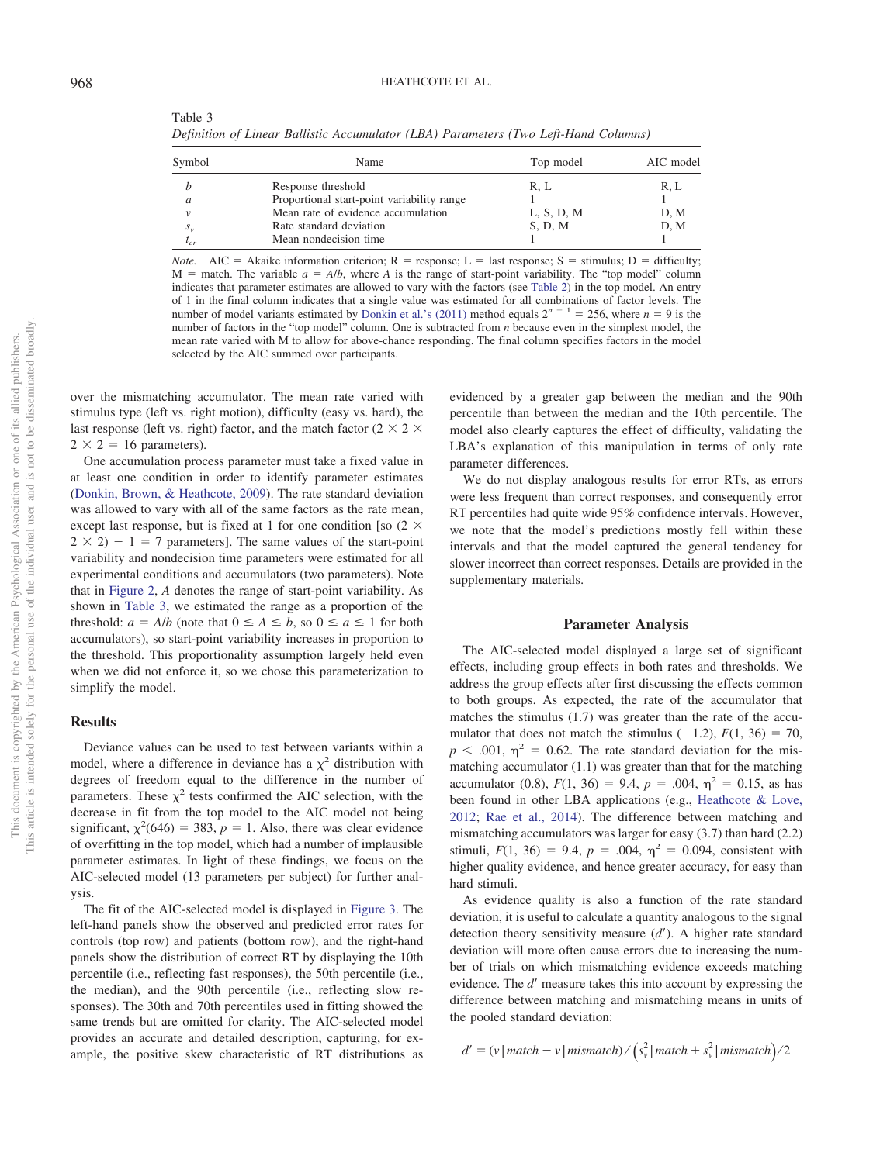<span id="page-7-0"></span>Table 3 *Definition of Linear Ballistic Accumulator (LBA) Parameters (Two Left-Hand Columns)*

| Symbol    | Name                                       | Top model  | AIC model |
|-----------|--------------------------------------------|------------|-----------|
|           | Response threshold                         | R, L       | R. L      |
|           | Proportional start-point variability range |            |           |
|           | Mean rate of evidence accumulation         | L, S, D, M | D, M      |
| $S_{\nu}$ | Rate standard deviation                    | S, D, M    | D.M       |
| $t_{er}$  | Mean nondecision time                      |            |           |

*Note.* AIC = Akaike information criterion;  $R =$  response; L = last response; S = stimulus; D = difficulty;  $M =$  match. The variable  $a = A/b$ , where A is the range of start-point variability. The "top model" column indicates that parameter estimates are allowed to vary with the factors (see [Table 2\)](#page-5-0) in the top model. An entry of 1 in the final column indicates that a single value was estimated for all combinations of factor levels. The number of model variants estimated by [Donkin et al.'s \(2011\)](#page-11-22) method equals  $2^{n-1} = 256$ , where  $n = 9$  is the number of factors in the "top model" column. One is subtracted from *n* because even in the simplest model, the mean rate varied with M to allow for above-chance responding. The final column specifies factors in the model selected by the AIC summed over participants.

over the mismatching accumulator. The mean rate varied with stimulus type (left vs. right motion), difficulty (easy vs. hard), the last response (left vs. right) factor, and the match factor (2  $\times$  2  $\times$  $2 \times 2 = 16$  parameters).

One accumulation process parameter must take a fixed value in at least one condition in order to identify parameter estimates [\(Donkin, Brown, & Heathcote, 2009\)](#page-11-26). The rate standard deviation was allowed to vary with all of the same factors as the rate mean, except last response, but is fixed at 1 for one condition [so  $(2 \times$  $2 \times 2$ ) – 1 = 7 parameters]. The same values of the start-point variability and nondecision time parameters were estimated for all experimental conditions and accumulators (two parameters). Note that in [Figure 2,](#page-6-0) *A* denotes the range of start-point variability. As shown in [Table 3,](#page-7-0) we estimated the range as a proportion of the threshold:  $a = A/b$  (note that  $0 \le A \le b$ , so  $0 \le a \le 1$  for both accumulators), so start-point variability increases in proportion to the threshold. This proportionality assumption largely held even when we did not enforce it, so we chose this parameterization to simplify the model.

## **Results**

Deviance values can be used to test between variants within a model, where a difference in deviance has a  $\chi^2$  distribution with degrees of freedom equal to the difference in the number of parameters. These  $\chi^2$  tests confirmed the AIC selection, with the decrease in fit from the top model to the AIC model not being significant,  $\chi^2$ (646) = 383,  $p = 1$ . Also, there was clear evidence of overfitting in the top model, which had a number of implausible parameter estimates. In light of these findings, we focus on the AIC-selected model (13 parameters per subject) for further analysis.

The fit of the AIC-selected model is displayed in [Figure 3.](#page-8-0) The left-hand panels show the observed and predicted error rates for controls (top row) and patients (bottom row), and the right-hand panels show the distribution of correct RT by displaying the 10th percentile (i.e., reflecting fast responses), the 50th percentile (i.e., the median), and the 90th percentile (i.e., reflecting slow responses). The 30th and 70th percentiles used in fitting showed the same trends but are omitted for clarity. The AIC-selected model provides an accurate and detailed description, capturing, for example, the positive skew characteristic of RT distributions as evidenced by a greater gap between the median and the 90th percentile than between the median and the 10th percentile. The model also clearly captures the effect of difficulty, validating the LBA's explanation of this manipulation in terms of only rate parameter differences.

We do not display analogous results for error RTs, as errors were less frequent than correct responses, and consequently error RT percentiles had quite wide 95% confidence intervals. However, we note that the model's predictions mostly fell within these intervals and that the model captured the general tendency for slower incorrect than correct responses. Details are provided in the supplementary materials.

### **Parameter Analysis**

The AIC-selected model displayed a large set of significant effects, including group effects in both rates and thresholds. We address the group effects after first discussing the effects common to both groups. As expected, the rate of the accumulator that matches the stimulus (1.7) was greater than the rate of the accumulator that does not match the stimulus  $(-1.2)$ ,  $F(1, 36) = 70$ ,  $p < .001$ ,  $\eta^2 = 0.62$ . The rate standard deviation for the mismatching accumulator (1.1) was greater than that for the matching accumulator (0.8),  $F(1, 36) = 9.4$ ,  $p = .004$ ,  $\eta^2 = 0.15$ , as has been found in other LBA applications (e.g., [Heathcote & Love,](#page-11-24) [2012;](#page-11-24) [Rae et al., 2014\)](#page-12-22). The difference between matching and mismatching accumulators was larger for easy (3.7) than hard (2.2) stimuli,  $F(1, 36) = 9.4$ ,  $p = .004$ ,  $\eta^2 = 0.094$ , consistent with higher quality evidence, and hence greater accuracy, for easy than hard stimuli.

As evidence quality is also a function of the rate standard deviation, it is useful to calculate a quantity analogous to the signal detection theory sensitivity measure (d'). A higher rate standard deviation will more often cause errors due to increasing the number of trials on which mismatching evidence exceeds matching evidence. The *d'* measure takes this into account by expressing the difference between matching and mismatching means in units of the pooled standard deviation:

$$
d' = (v | match - v | mismatch) / (s_v^2 | match + s_v^2 | mismatch) / 2
$$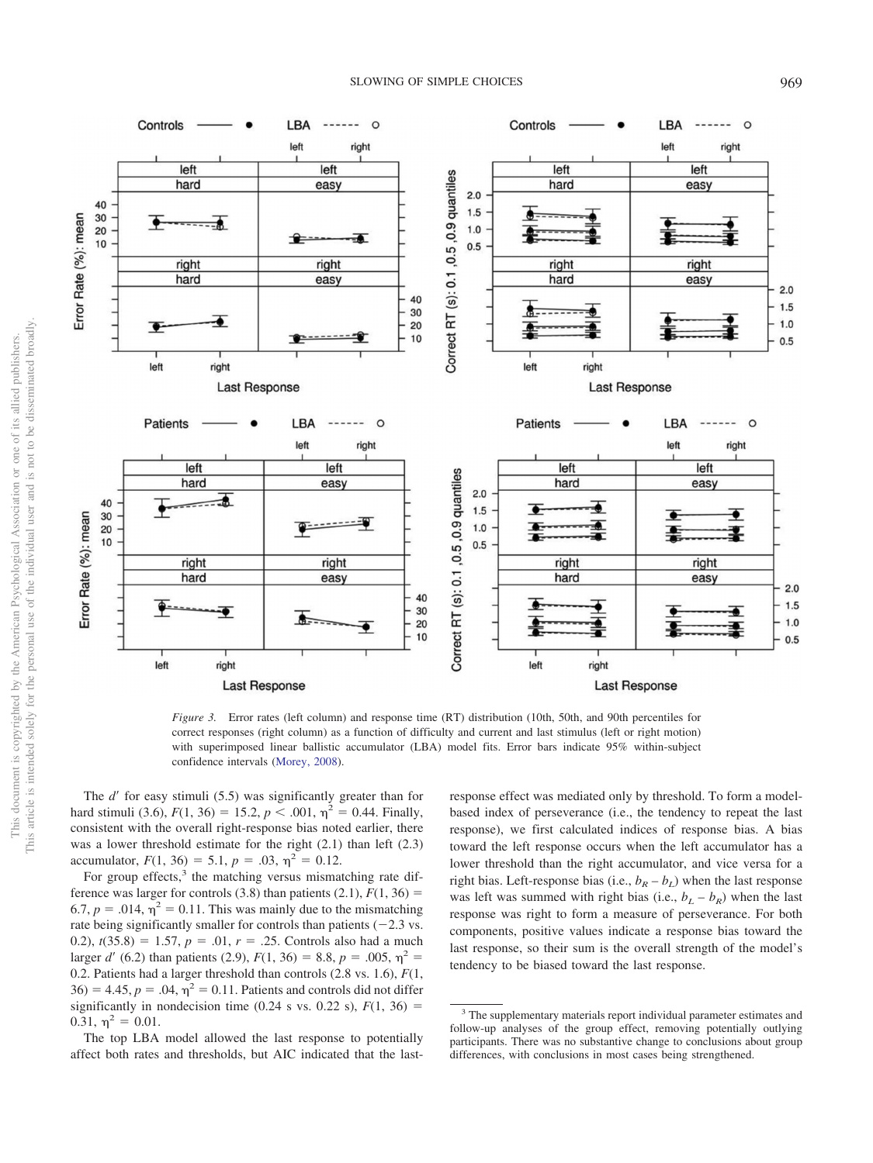

<span id="page-8-0"></span>*Figure 3.* Error rates (left column) and response time (RT) distribution (10th, 50th, and 90th percentiles for correct responses (right column) as a function of difficulty and current and last stimulus (left or right motion) with superimposed linear ballistic accumulator (LBA) model fits. Error bars indicate 95% within-subject confidence intervals [\(Morey, 2008\)](#page-12-26).

The *d'* for easy stimuli (5.5) was significantly greater than for hard stimuli (3.6),  $F(1, 36) = 15.2, p < .001, \eta^2 = 0.44$ . Finally, consistent with the overall right-response bias noted earlier, there was a lower threshold estimate for the right (2.1) than left (2.3) accumulator,  $F(1, 36) = 5.1$ ,  $p = .03$ ,  $\eta^2 = 0.12$ .

For group effects,<sup>3</sup> the matching versus mismatching rate difference was larger for controls  $(3.8)$  than patients  $(2.1)$ ,  $F(1, 36)$  = 6.7,  $p = .014$ ,  $\eta^2 = 0.11$ . This was mainly due to the mismatching rate being significantly smaller for controls than patients  $(-2.3 \text{ vs.})$ 0.2),  $t(35.8) = 1.57$ ,  $p = .01$ ,  $r = .25$ . Controls also had a much larger *d'* (6.2) than patients (2.9),  $F(1, 36) = 8.8$ ,  $p = .005$ ,  $\eta^2 =$ 0.2. Patients had a larger threshold than controls (2.8 vs. 1.6), *F*(1,  $36$  = 4.45,  $p = .04$ ,  $\eta^2 = 0.11$ . Patients and controls did not differ significantly in nondecision time (0.24 s vs. 0.22 s),  $F(1, 36) =$  $0.31, \eta^2 = 0.01.$ 

The top LBA model allowed the last response to potentially affect both rates and thresholds, but AIC indicated that the last-

response effect was mediated only by threshold. To form a modelbased index of perseverance (i.e., the tendency to repeat the last response), we first calculated indices of response bias. A bias toward the left response occurs when the left accumulator has a lower threshold than the right accumulator, and vice versa for a right bias. Left-response bias (i.e.,  $b_R - b_L$ ) when the last response was left was summed with right bias (i.e.,  $b_L - b_R$ ) when the last response was right to form a measure of perseverance. For both components, positive values indicate a response bias toward the last response, so their sum is the overall strength of the model's tendency to be biased toward the last response.

<sup>&</sup>lt;sup>3</sup> The supplementary materials report individual parameter estimates and follow-up analyses of the group effect, removing potentially outlying participants. There was no substantive change to conclusions about group differences, with conclusions in most cases being strengthened.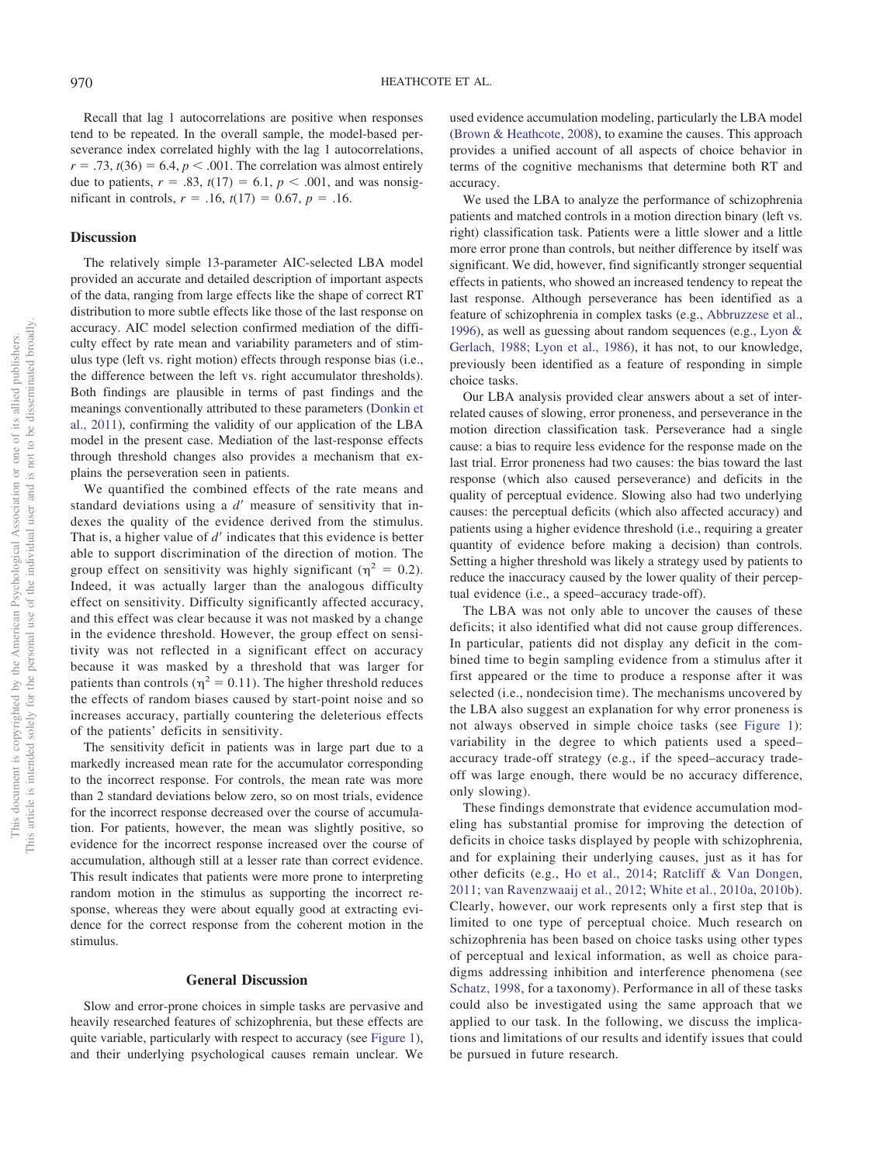Recall that lag 1 autocorrelations are positive when responses tend to be repeated. In the overall sample, the model-based perseverance index correlated highly with the lag 1 autocorrelations,  $r = .73$ ,  $t(36) = 6.4$ ,  $p < .001$ . The correlation was almost entirely due to patients,  $r = .83$ ,  $t(17) = 6.1$ ,  $p < .001$ , and was nonsigmificant in controls,  $r = .16$ ,  $t(17) = 0.67$ ,  $p = .16$ .

## **Discussion**

The relatively simple 13-parameter AIC-selected LBA model provided an accurate and detailed description of important aspects of the data, ranging from large effects like the shape of correct RT distribution to more subtle effects like those of the last response on accuracy. AIC model selection confirmed mediation of the difficulty effect by rate mean and variability parameters and of stimulus type (left vs. right motion) effects through response bias (i.e., the difference between the left vs. right accumulator thresholds). Both findings are plausible in terms of past findings and the meanings conventionally attributed to these parameters [\(Donkin et](#page-11-22) [al., 2011\)](#page-11-22), confirming the validity of our application of the LBA model in the present case. Mediation of the last-response effects through threshold changes also provides a mechanism that explains the perseveration seen in patients.

We quantified the combined effects of the rate means and standard deviations using a *d'* measure of sensitivity that indexes the quality of the evidence derived from the stimulus. That is, a higher value of *d'* indicates that this evidence is better able to support discrimination of the direction of motion. The group effect on sensitivity was highly significant ( $\eta^2 = 0.2$ ). Indeed, it was actually larger than the analogous difficulty effect on sensitivity. Difficulty significantly affected accuracy, and this effect was clear because it was not masked by a change in the evidence threshold. However, the group effect on sensitivity was not reflected in a significant effect on accuracy because it was masked by a threshold that was larger for patients than controls ( $\eta^2 = 0.11$ ). The higher threshold reduces the effects of random biases caused by start-point noise and so increases accuracy, partially countering the deleterious effects of the patients' deficits in sensitivity.

The sensitivity deficit in patients was in large part due to a markedly increased mean rate for the accumulator corresponding to the incorrect response. For controls, the mean rate was more than 2 standard deviations below zero, so on most trials, evidence for the incorrect response decreased over the course of accumulation. For patients, however, the mean was slightly positive, so evidence for the incorrect response increased over the course of accumulation, although still at a lesser rate than correct evidence. This result indicates that patients were more prone to interpreting random motion in the stimulus as supporting the incorrect response, whereas they were about equally good at extracting evidence for the correct response from the coherent motion in the stimulus.

## **General Discussion**

Slow and error-prone choices in simple tasks are pervasive and heavily researched features of schizophrenia, but these effects are quite variable, particularly with respect to accuracy (see [Figure 1\)](#page-2-0), and their underlying psychological causes remain unclear. We used evidence accumulation modeling, particularly the LBA model [\(Brown & Heathcote, 2008\)](#page-11-0), to examine the causes. This approach provides a unified account of all aspects of choice behavior in terms of the cognitive mechanisms that determine both RT and accuracy.

We used the LBA to analyze the performance of schizophrenia patients and matched controls in a motion direction binary (left vs. right) classification task. Patients were a little slower and a little more error prone than controls, but neither difference by itself was significant. We did, however, find significantly stronger sequential effects in patients, who showed an increased tendency to repeat the last response. Although perseverance has been identified as a feature of schizophrenia in complex tasks (e.g., [Abbruzzese et al.,](#page-11-5) [1996\)](#page-11-5), as well as guessing about random sequences (e.g., [Lyon &](#page-12-7) [Gerlach, 1988;](#page-12-7) [Lyon et al., 1986\)](#page-12-8), it has not, to our knowledge, previously been identified as a feature of responding in simple choice tasks.

Our LBA analysis provided clear answers about a set of interrelated causes of slowing, error proneness, and perseverance in the motion direction classification task. Perseverance had a single cause: a bias to require less evidence for the response made on the last trial. Error proneness had two causes: the bias toward the last response (which also caused perseverance) and deficits in the quality of perceptual evidence. Slowing also had two underlying causes: the perceptual deficits (which also affected accuracy) and patients using a higher evidence threshold (i.e., requiring a greater quantity of evidence before making a decision) than controls. Setting a higher threshold was likely a strategy used by patients to reduce the inaccuracy caused by the lower quality of their perceptual evidence (i.e., a speed–accuracy trade-off).

The LBA was not only able to uncover the causes of these deficits; it also identified what did not cause group differences. In particular, patients did not display any deficit in the combined time to begin sampling evidence from a stimulus after it first appeared or the time to produce a response after it was selected (i.e., nondecision time). The mechanisms uncovered by the LBA also suggest an explanation for why error proneness is not always observed in simple choice tasks (see [Figure 1\)](#page-2-0): variability in the degree to which patients used a speed– accuracy trade-off strategy (e.g., if the speed–accuracy tradeoff was large enough, there would be no accuracy difference, only slowing).

These findings demonstrate that evidence accumulation modeling has substantial promise for improving the detection of deficits in choice tasks displayed by people with schizophrenia, and for explaining their underlying causes, just as it has for other deficits (e.g., [Ho et al., 2014;](#page-11-11) [Ratcliff & Van Dongen,](#page-12-13) [2011;](#page-12-13) [van Ravenzwaaij et al., 2012;](#page-12-14) [White et al., 2010a,](#page-13-2) [2010b\)](#page-13-3). Clearly, however, our work represents only a first step that is limited to one type of perceptual choice. Much research on schizophrenia has been based on choice tasks using other types of perceptual and lexical information, as well as choice paradigms addressing inhibition and interference phenomena (see [Schatz, 1998,](#page-12-0) for a taxonomy). Performance in all of these tasks could also be investigated using the same approach that we applied to our task. In the following, we discuss the implications and limitations of our results and identify issues that could be pursued in future research.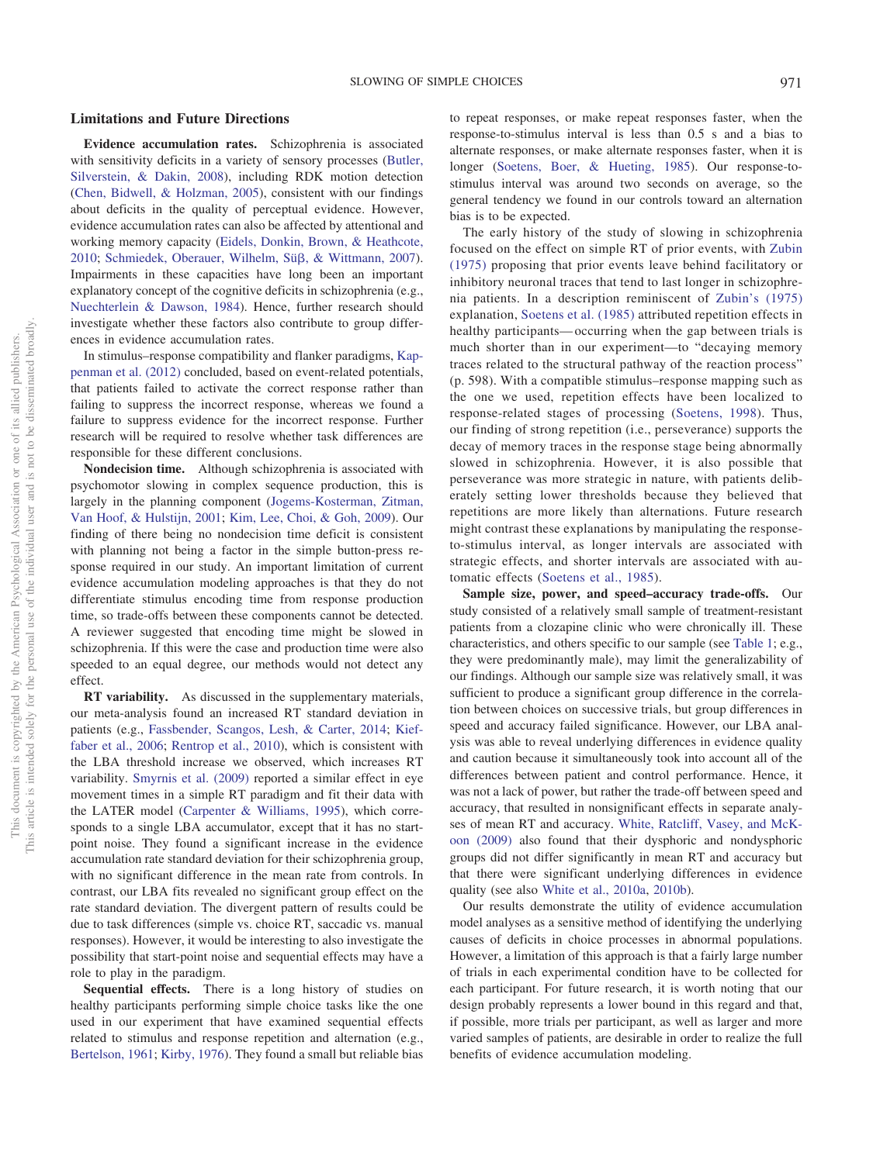## **Limitations and Future Directions**

**Evidence accumulation rates.** Schizophrenia is associated with sensitivity deficits in a variety of sensory processes [\(Butler,](#page-11-27) [Silverstein, & Dakin, 2008\)](#page-11-27), including RDK motion detection [\(Chen, Bidwell, & Holzman, 2005\)](#page-11-28), consistent with our findings about deficits in the quality of perceptual evidence. However, evidence accumulation rates can also be affected by attentional and working memory capacity [\(Eidels, Donkin, Brown, & Heathcote,](#page-11-29) [2010;](#page-11-29) [Schmiedek, Oberauer, Wilhelm, Sü](#page-12-27)ß, & Wittmann, 2007). Impairments in these capacities have long been an important explanatory concept of the cognitive deficits in schizophrenia (e.g., [Nuechterlein & Dawson, 1984\)](#page-12-28). Hence, further research should investigate whether these factors also contribute to group differences in evidence accumulation rates.

In stimulus–response compatibility and flanker paradigms, [Kap](#page-11-30)[penman et al. \(2012\)](#page-11-30) concluded, based on event-related potentials, that patients failed to activate the correct response rather than failing to suppress the incorrect response, whereas we found a failure to suppress evidence for the incorrect response. Further research will be required to resolve whether task differences are responsible for these different conclusions.

**Nondecision time.** Although schizophrenia is associated with psychomotor slowing in complex sequence production, this is largely in the planning component [\(Jogems-Kosterman, Zitman,](#page-11-31) [Van Hoof, & Hulstijn, 2001;](#page-11-31) [Kim, Lee, Choi, & Goh, 2009\)](#page-12-29). Our finding of there being no nondecision time deficit is consistent with planning not being a factor in the simple button-press response required in our study. An important limitation of current evidence accumulation modeling approaches is that they do not differentiate stimulus encoding time from response production time, so trade-offs between these components cannot be detected. A reviewer suggested that encoding time might be slowed in schizophrenia. If this were the case and production time were also speeded to an equal degree, our methods would not detect any effect.

**RT variability.** As discussed in the supplementary materials, our meta-analysis found an increased RT standard deviation in patients (e.g., [Fassbender, Scangos, Lesh, & Carter, 2014;](#page-11-32) [Kief](#page-11-33)[faber et al., 2006;](#page-11-33) [Rentrop et al., 2010\)](#page-12-30), which is consistent with the LBA threshold increase we observed, which increases RT variability. [Smyrnis et al. \(2009\)](#page-12-31) reported a similar effect in eye movement times in a simple RT paradigm and fit their data with the LATER model [\(Carpenter & Williams, 1995\)](#page-11-34), which corresponds to a single LBA accumulator, except that it has no startpoint noise. They found a significant increase in the evidence accumulation rate standard deviation for their schizophrenia group, with no significant difference in the mean rate from controls. In contrast, our LBA fits revealed no significant group effect on the rate standard deviation. The divergent pattern of results could be due to task differences (simple vs. choice RT, saccadic vs. manual responses). However, it would be interesting to also investigate the possibility that start-point noise and sequential effects may have a role to play in the paradigm.

**Sequential effects.** There is a long history of studies on healthy participants performing simple choice tasks like the one used in our experiment that have examined sequential effects related to stimulus and response repetition and alternation (e.g., [Bertelson, 1961;](#page-11-35) [Kirby, 1976\)](#page-12-32). They found a small but reliable bias to repeat responses, or make repeat responses faster, when the response-to-stimulus interval is less than 0.5 s and a bias to alternate responses, or make alternate responses faster, when it is longer [\(Soetens, Boer, & Hueting, 1985\)](#page-12-33). Our response-tostimulus interval was around two seconds on average, so the general tendency we found in our controls toward an alternation bias is to be expected.

The early history of the study of slowing in schizophrenia focused on the effect on simple RT of prior events, with [Zubin](#page-13-4) [\(1975\)](#page-13-4) proposing that prior events leave behind facilitatory or inhibitory neuronal traces that tend to last longer in schizophrenia patients. In a description reminiscent of [Zubin's \(1975\)](#page-13-4) explanation, [Soetens et al. \(1985\)](#page-12-33) attributed repetition effects in healthy participants—occurring when the gap between trials is much shorter than in our experiment—to "decaying memory traces related to the structural pathway of the reaction process" (p. 598). With a compatible stimulus–response mapping such as the one we used, repetition effects have been localized to response-related stages of processing [\(Soetens, 1998\)](#page-12-34). Thus, our finding of strong repetition (i.e., perseverance) supports the decay of memory traces in the response stage being abnormally slowed in schizophrenia. However, it is also possible that perseverance was more strategic in nature, with patients deliberately setting lower thresholds because they believed that repetitions are more likely than alternations. Future research might contrast these explanations by manipulating the responseto-stimulus interval, as longer intervals are associated with strategic effects, and shorter intervals are associated with automatic effects [\(Soetens et al., 1985\)](#page-12-33).

**Sample size, power, and speed–accuracy trade-offs.** Our study consisted of a relatively small sample of treatment-resistant patients from a clozapine clinic who were chronically ill. These characteristics, and others specific to our sample (see [Table 1;](#page-3-0) e.g., they were predominantly male), may limit the generalizability of our findings. Although our sample size was relatively small, it was sufficient to produce a significant group difference in the correlation between choices on successive trials, but group differences in speed and accuracy failed significance. However, our LBA analysis was able to reveal underlying differences in evidence quality and caution because it simultaneously took into account all of the differences between patient and control performance. Hence, it was not a lack of power, but rather the trade-off between speed and accuracy, that resulted in nonsignificant effects in separate analyses of mean RT and accuracy. [White, Ratcliff, Vasey, and McK](#page-13-5)[oon \(2009\)](#page-13-5) also found that their dysphoric and nondysphoric groups did not differ significantly in mean RT and accuracy but that there were significant underlying differences in evidence quality (see also [White et al., 2010a,](#page-13-2) [2010b\)](#page-13-3).

Our results demonstrate the utility of evidence accumulation model analyses as a sensitive method of identifying the underlying causes of deficits in choice processes in abnormal populations. However, a limitation of this approach is that a fairly large number of trials in each experimental condition have to be collected for each participant. For future research, it is worth noting that our design probably represents a lower bound in this regard and that, if possible, more trials per participant, as well as larger and more varied samples of patients, are desirable in order to realize the full benefits of evidence accumulation modeling.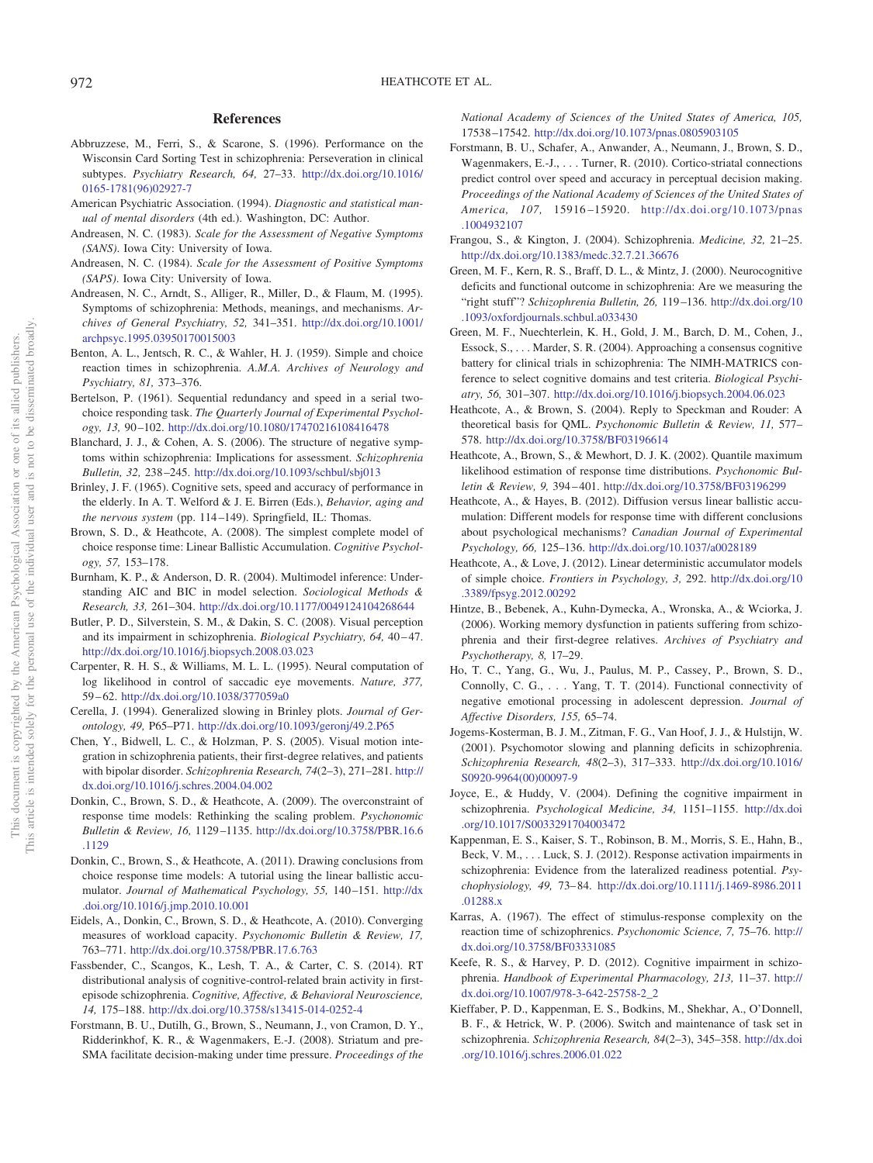# **References**

- <span id="page-11-5"></span>Abbruzzese, M., Ferri, S., & Scarone, S. (1996). Performance on the Wisconsin Card Sorting Test in schizophrenia: Perseveration in clinical subtypes. *Psychiatry Research, 64,* 27–33. [http://dx.doi.org/10.1016/](http://dx.doi.org/10.1016/0165-1781%2896%2902927-7) [0165-1781\(96\)02927-7](http://dx.doi.org/10.1016/0165-1781%2896%2902927-7)
- <span id="page-11-15"></span>American Psychiatric Association. (1994). *Diagnostic and statistical manual of mental disorders* (4th ed.). Washington, DC: Author.
- <span id="page-11-16"></span>Andreasen, N. C. (1983). *Scale for the Assessment of Negative Symptoms (SANS)*. Iowa City: University of Iowa.
- <span id="page-11-17"></span>Andreasen, N. C. (1984). *Scale for the Assessment of Positive Symptoms (SAPS)*. Iowa City: University of Iowa.
- <span id="page-11-18"></span>Andreasen, N. C., Arndt, S., Alliger, R., Miller, D., & Flaum, M. (1995). Symptoms of schizophrenia: Methods, meanings, and mechanisms. *Archives of General Psychiatry, 52,* 341–351. [http://dx.doi.org/10.1001/](http://dx.doi.org/10.1001/archpsyc.1995.03950170015003) [archpsyc.1995.03950170015003](http://dx.doi.org/10.1001/archpsyc.1995.03950170015003)
- <span id="page-11-6"></span>Benton, A. L., Jentsch, R. C., & Wahler, H. J. (1959). Simple and choice reaction times in schizophrenia. *A.M.A. Archives of Neurology and Psychiatry, 81,* 373–376.
- <span id="page-11-35"></span>Bertelson, P. (1961). Sequential redundancy and speed in a serial twochoice responding task. *The Quarterly Journal of Experimental Psychology, 13,* 90–102. <http://dx.doi.org/10.1080/17470216108416478>
- <span id="page-11-19"></span>Blanchard, J. J., & Cohen, A. S. (2006). The structure of negative symptoms within schizophrenia: Implications for assessment. *Schizophrenia Bulletin, 32,* 238–245. <http://dx.doi.org/10.1093/schbul/sbj013>
- <span id="page-11-12"></span>Brinley, J. F. (1965). Cognitive sets, speed and accuracy of performance in the elderly. In A. T. Welford & J. E. Birren (Eds.), *Behavior, aging and the nervous system* (pp. 114–149). Springfield, IL: Thomas.
- <span id="page-11-0"></span>Brown, S. D., & Heathcote, A. (2008). The simplest complete model of choice response time: Linear Ballistic Accumulation. *Cognitive Psychology, 57,* 153–178.
- <span id="page-11-25"></span>Burnham, K. P., & Anderson, D. R. (2004). Multimodel inference: Understanding AIC and BIC in model selection. *Sociological Methods & Research, 33,* 261–304. <http://dx.doi.org/10.1177/0049124104268644>
- <span id="page-11-27"></span>Butler, P. D., Silverstein, S. M., & Dakin, S. C. (2008). Visual perception and its impairment in schizophrenia. *Biological Psychiatry, 64,* 40–47. <http://dx.doi.org/10.1016/j.biopsych.2008.03.023>
- <span id="page-11-34"></span>Carpenter, R. H. S., & Williams, M. L. L. (1995). Neural computation of log likelihood in control of saccadic eye movements. *Nature, 377,* 59–62. <http://dx.doi.org/10.1038/377059a0>
- <span id="page-11-13"></span>Cerella, J. (1994). Generalized slowing in Brinley plots. *Journal of Gerontology, 49,* P65–P71. <http://dx.doi.org/10.1093/geronj/49.2.P65>
- <span id="page-11-28"></span>Chen, Y., Bidwell, L. C., & Holzman, P. S. (2005). Visual motion integration in schizophrenia patients, their first-degree relatives, and patients with bipolar disorder. *Schizophrenia Research, 74*(2–3), 271–281. [http://](http://dx.doi.org/10.1016/j.schres.2004.04.002) [dx.doi.org/10.1016/j.schres.2004.04.002](http://dx.doi.org/10.1016/j.schres.2004.04.002)
- <span id="page-11-26"></span>Donkin, C., Brown, S. D., & Heathcote, A. (2009). The overconstraint of response time models: Rethinking the scaling problem. *Psychonomic Bulletin & Review, 16,* 1129–1135. [http://dx.doi.org/10.3758/PBR.16.6](http://dx.doi.org/10.3758/PBR.16.6.1129) [.1129](http://dx.doi.org/10.3758/PBR.16.6.1129)
- <span id="page-11-22"></span>Donkin, C., Brown, S., & Heathcote, A. (2011). Drawing conclusions from choice response time models: A tutorial using the linear ballistic accumulator. *Journal of Mathematical Psychology, 55,* 140–151. [http://dx](http://dx.doi.org/10.1016/j.jmp.2010.10.001) [.doi.org/10.1016/j.jmp.2010.10.001](http://dx.doi.org/10.1016/j.jmp.2010.10.001)
- <span id="page-11-29"></span>Eidels, A., Donkin, C., Brown, S. D., & Heathcote, A. (2010). Converging measures of workload capacity. *Psychonomic Bulletin & Review, 17,* 763–771. <http://dx.doi.org/10.3758/PBR.17.6.763>
- <span id="page-11-32"></span>Fassbender, C., Scangos, K., Lesh, T. A., & Carter, C. S. (2014). RT distributional analysis of cognitive-control-related brain activity in firstepisode schizophrenia. *Cognitive, Affective, & Behavioral Neuroscience, 14,* 175–188. <http://dx.doi.org/10.3758/s13415-014-0252-4>
- <span id="page-11-9"></span>Forstmann, B. U., Dutilh, G., Brown, S., Neumann, J., von Cramon, D. Y., Ridderinkhof, K. R., & Wagenmakers, E.-J. (2008). Striatum and pre-SMA facilitate decision-making under time pressure. *Proceedings of the*

*National Academy of Sciences of the United States of America, 105,* 17538–17542. <http://dx.doi.org/10.1073/pnas.0805903105>

- <span id="page-11-10"></span>Forstmann, B. U., Schafer, A., Anwander, A., Neumann, J., Brown, S. D., Wagenmakers, E.-J.,... Turner, R. (2010). Cortico-striatal connections predict control over speed and accuracy in perceptual decision making. *Proceedings of the National Academy of Sciences of the United States of America, 107,* 15916–15920. [http://dx.doi.org/10.1073/pnas](http://dx.doi.org/10.1073/pnas.1004932107) [.1004932107](http://dx.doi.org/10.1073/pnas.1004932107)
- <span id="page-11-1"></span>Frangou, S., & Kington, J. (2004). Schizophrenia. *Medicine, 32,* 21–25. <http://dx.doi.org/10.1383/medc.32.7.21.36676>
- <span id="page-11-3"></span>Green, M. F., Kern, R. S., Braff, D. L., & Mintz, J. (2000). Neurocognitive deficits and functional outcome in schizophrenia: Are we measuring the "right stuff"? *Schizophrenia Bulletin, 26,* 119–136. [http://dx.doi.org/10](http://dx.doi.org/10.1093/oxfordjournals.schbul.a033430) [.1093/oxfordjournals.schbul.a033430](http://dx.doi.org/10.1093/oxfordjournals.schbul.a033430)
- <span id="page-11-4"></span>Green, M. F., Nuechterlein, K. H., Gold, J. M., Barch, D. M., Cohen, J., Essock, S.,... Marder, S. R. (2004). Approaching a consensus cognitive battery for clinical trials in schizophrenia: The NIMH-MATRICS conference to select cognitive domains and test criteria. *Biological Psychiatry, 56,* 301–307. <http://dx.doi.org/10.1016/j.biopsych.2004.06.023>
- <span id="page-11-20"></span>Heathcote, A., & Brown, S. (2004). Reply to Speckman and Rouder: A theoretical basis for QML. *Psychonomic Bulletin & Review, 11,* 577– 578. <http://dx.doi.org/10.3758/BF03196614>
- <span id="page-11-21"></span>Heathcote, A., Brown, S., & Mewhort, D. J. K. (2002). Quantile maximum likelihood estimation of response time distributions. *Psychonomic Bulletin & Review, 9,* 394–401. <http://dx.doi.org/10.3758/BF03196299>
- <span id="page-11-23"></span>Heathcote, A., & Hayes, B. (2012). Diffusion versus linear ballistic accumulation: Different models for response time with different conclusions about psychological mechanisms? *Canadian Journal of Experimental Psychology, 66,* 125–136. <http://dx.doi.org/10.1037/a0028189>
- <span id="page-11-24"></span>Heathcote, A., & Love, J. (2012). Linear deterministic accumulator models of simple choice. *Frontiers in Psychology, 3,* 292. [http://dx.doi.org/10](http://dx.doi.org/10.3389/fpsyg.2012.00292) [.3389/fpsyg.2012.00292](http://dx.doi.org/10.3389/fpsyg.2012.00292)
- <span id="page-11-7"></span>Hintze, B., Bebenek, A., Kuhn-Dymecka, A., Wronska, A., & Wciorka, J. (2006). Working memory dysfunction in patients suffering from schizophrenia and their first-degree relatives. *Archives of Psychiatry and Psychotherapy, 8,* 17–29.
- <span id="page-11-11"></span>Ho, T. C., Yang, G., Wu, J., Paulus, M. P., Cassey, P., Brown, S. D., Connolly, C. G.,... Yang, T. T. (2014). Functional connectivity of negative emotional processing in adolescent depression. *Journal of Affective Disorders, 155,* 65–74.
- <span id="page-11-31"></span>Jogems-Kosterman, B. J. M., Zitman, F. G., Van Hoof, J. J., & Hulstijn, W. (2001). Psychomotor slowing and planning deficits in schizophrenia. *Schizophrenia Research, 48*(2–3), 317–333. [http://dx.doi.org/10.1016/](http://dx.doi.org/10.1016/S0920-9964%2800%2900097-9) [S0920-9964\(00\)00097-9](http://dx.doi.org/10.1016/S0920-9964%2800%2900097-9)
- <span id="page-11-14"></span>Joyce, E., & Huddy, V. (2004). Defining the cognitive impairment in schizophrenia. *Psychological Medicine, 34,* 1151–1155. [http://dx.doi](http://dx.doi.org/10.1017/S0033291704003472) [.org/10.1017/S0033291704003472](http://dx.doi.org/10.1017/S0033291704003472)
- <span id="page-11-30"></span>Kappenman, E. S., Kaiser, S. T., Robinson, B. M., Morris, S. E., Hahn, B., Beck, V. M.,... Luck, S. J. (2012). Response activation impairments in schizophrenia: Evidence from the lateralized readiness potential. *Psychophysiology, 49,* 73–84. [http://dx.doi.org/10.1111/j.1469-8986.2011](http://dx.doi.org/10.1111/j.1469-8986.2011.01288.x) [.01288.x](http://dx.doi.org/10.1111/j.1469-8986.2011.01288.x)
- <span id="page-11-8"></span>Karras, A. (1967). The effect of stimulus-response complexity on the reaction time of schizophrenics. *Psychonomic Science, 7,* 75–76. [http://](http://dx.doi.org/10.3758/BF03331085) [dx.doi.org/10.3758/BF03331085](http://dx.doi.org/10.3758/BF03331085)
- <span id="page-11-2"></span>Keefe, R. S., & Harvey, P. D. (2012). Cognitive impairment in schizophrenia. *Handbook of Experimental Pharmacology, 213,* 11–37. [http://](http://dx.doi.org/10.1007/978-3-642-25758-2_2) [dx.doi.org/10.1007/978-3-642-25758-2\\_2](http://dx.doi.org/10.1007/978-3-642-25758-2_2)
- <span id="page-11-33"></span>Kieffaber, P. D., Kappenman, E. S., Bodkins, M., Shekhar, A., O'Donnell, B. F., & Hetrick, W. P. (2006). Switch and maintenance of task set in schizophrenia. *Schizophrenia Research, 84*(2–3), 345–358. [http://dx.doi](http://dx.doi.org/10.1016/j.schres.2006.01.022) [.org/10.1016/j.schres.2006.01.022](http://dx.doi.org/10.1016/j.schres.2006.01.022)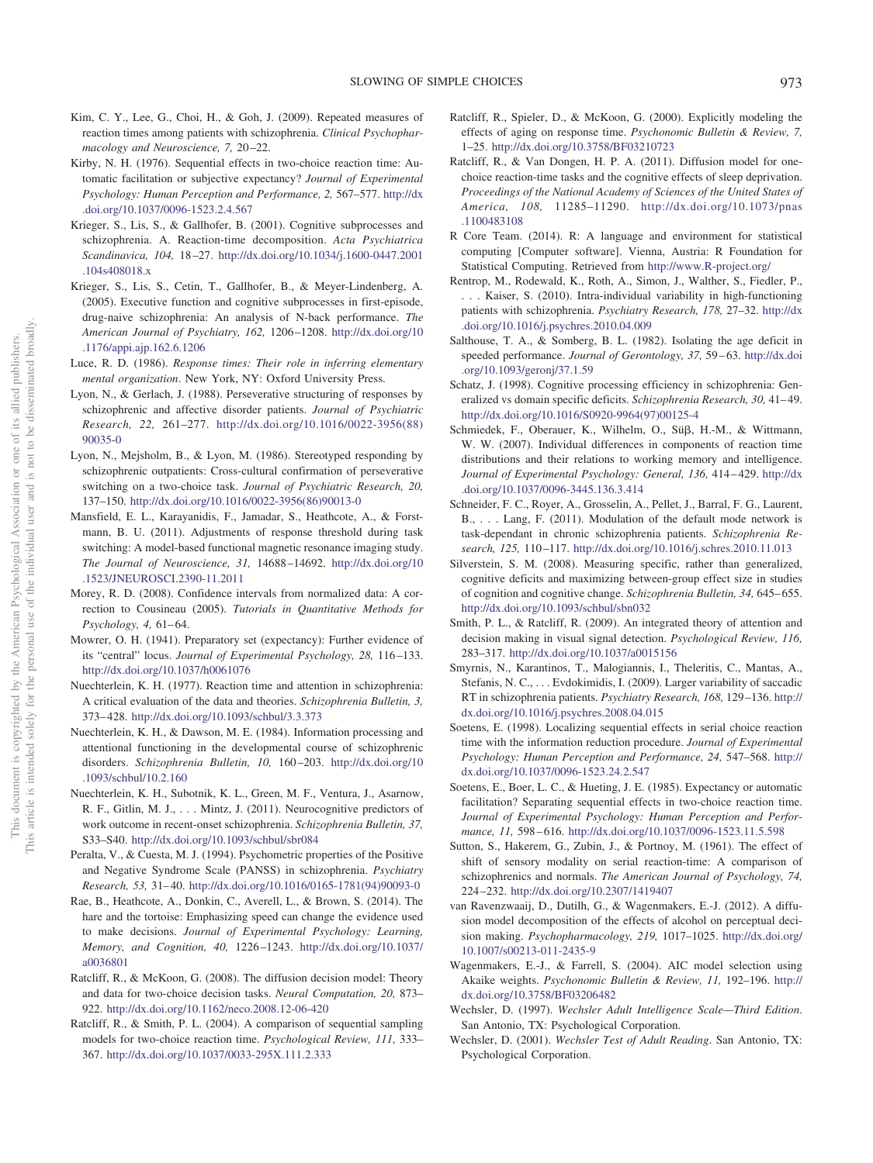- <span id="page-12-29"></span>Kim, C. Y., Lee, G., Choi, H., & Goh, J. (2009). Repeated measures of reaction times among patients with schizophrenia. *Clinical Psychopharmacology and Neuroscience, 7,* 20–22.
- <span id="page-12-32"></span>Kirby, N. H. (1976). Sequential effects in two-choice reaction time: Automatic facilitation or subjective expectancy? *Journal of Experimental Psychology: Human Perception and Performance, 2,* 567–577. [http://dx](http://dx.doi.org/10.1037/0096-1523.2.4.567) [.doi.org/10.1037/0096-1523.2.4.567](http://dx.doi.org/10.1037/0096-1523.2.4.567)
- <span id="page-12-9"></span>Krieger, S., Lis, S., & Gallhofer, B. (2001). Cognitive subprocesses and schizophrenia. A. Reaction-time decomposition. *Acta Psychiatrica Scandinavica, 104,* 18–27. [http://dx.doi.org/10.1034/j.1600-0447.2001](http://dx.doi.org/10.1034/j.1600-0447.2001.104s408018.x) [.104s408018.x](http://dx.doi.org/10.1034/j.1600-0447.2001.104s408018.x)
- <span id="page-12-10"></span>Krieger, S., Lis, S., Cetin, T., Gallhofer, B., & Meyer-Lindenberg, A. (2005). Executive function and cognitive subprocesses in first-episode, drug-naive schizophrenia: An analysis of N-back performance. *The American Journal of Psychiatry, 162,* 1206–1208. [http://dx.doi.org/10](http://dx.doi.org/10.1176/appi.ajp.162.6.1206) [.1176/appi.ajp.162.6.1206](http://dx.doi.org/10.1176/appi.ajp.162.6.1206)
- <span id="page-12-25"></span>Luce, R. D. (1986). *Response times: Their role in inferring elementary mental organization*. New York, NY: Oxford University Press.
- <span id="page-12-7"></span>Lyon, N., & Gerlach, J. (1988). Perseverative structuring of responses by schizophrenic and affective disorder patients. *Journal of Psychiatric Research, 22,* 261–277. [http://dx.doi.org/10.1016/0022-3956\(88\)](http://dx.doi.org/10.1016/0022-3956%2888%2990035-0) [90035-0](http://dx.doi.org/10.1016/0022-3956%2888%2990035-0)
- <span id="page-12-8"></span>Lyon, N., Mejsholm, B., & Lyon, M. (1986). Stereotyped responding by schizophrenic outpatients: Cross-cultural confirmation of perseverative switching on a two-choice task. *Journal of Psychiatric Research, 20,* 137–150. [http://dx.doi.org/10.1016/0022-3956\(86\)90013-0](http://dx.doi.org/10.1016/0022-3956%2886%2990013-0)
- <span id="page-12-12"></span>Mansfield, E. L., Karayanidis, F., Jamadar, S., Heathcote, A., & Forstmann, B. U. (2011). Adjustments of response threshold during task switching: A model-based functional magnetic resonance imaging study. *The Journal of Neuroscience, 31,* 14688–14692. [http://dx.doi.org/10](http://dx.doi.org/10.1523/JNEUROSCI.2390-11.2011) [.1523/JNEUROSCI.2390-11.2011](http://dx.doi.org/10.1523/JNEUROSCI.2390-11.2011)
- <span id="page-12-26"></span>Morey, R. D. (2008). Confidence intervals from normalized data: A correction to Cousineau (2005). *Tutorials in Quantitative Methods for Psychology, 4,* 61–64.
- <span id="page-12-5"></span>Mowrer, O. H. (1941). Preparatory set (expectancy): Further evidence of its "central" locus. *Journal of Experimental Psychology, 28,* 116–133. <http://dx.doi.org/10.1037/h0061076>
- <span id="page-12-4"></span>Nuechterlein, K. H. (1977). Reaction time and attention in schizophrenia: A critical evaluation of the data and theories. *Schizophrenia Bulletin, 3,* 373–428. <http://dx.doi.org/10.1093/schbul/3.3.373>
- <span id="page-12-28"></span>Nuechterlein, K. H., & Dawson, M. E. (1984). Information processing and attentional functioning in the developmental course of schizophrenic disorders. *Schizophrenia Bulletin, 10,* 160–203. [http://dx.doi.org/10](http://dx.doi.org/10.1093/schbul/10.2.160) [.1093/schbul/10.2.160](http://dx.doi.org/10.1093/schbul/10.2.160)
- <span id="page-12-1"></span>Nuechterlein, K. H., Subotnik, K. L., Green, M. F., Ventura, J., Asarnow, R. F., Gitlin, M. J.,... Mintz, J. (2011). Neurocognitive predictors of work outcome in recent-onset schizophrenia. *Schizophrenia Bulletin, 37,* S33–S40. <http://dx.doi.org/10.1093/schbul/sbr084>
- <span id="page-12-20"></span>Peralta, V., & Cuesta, M. J. (1994). Psychometric properties of the Positive and Negative Syndrome Scale (PANSS) in schizophrenia. *Psychiatry Research, 53,* 31–40. [http://dx.doi.org/10.1016/0165-1781\(94\)90093-0](http://dx.doi.org/10.1016/0165-1781%2894%2990093-0)
- <span id="page-12-22"></span>Rae, B., Heathcote, A., Donkin, C., Averell, L., & Brown, S. (2014). The hare and the tortoise: Emphasizing speed can change the evidence used to make decisions. *Journal of Experimental Psychology: Learning, Memory, and Cognition, 40,* 1226–1243. [http://dx.doi.org/10.1037/](http://dx.doi.org/10.1037/a0036801) [a0036801](http://dx.doi.org/10.1037/a0036801)
- <span id="page-12-3"></span>Ratcliff, R., & McKoon, G. (2008). The diffusion decision model: Theory and data for two-choice decision tasks. *Neural Computation, 20,* 873– 922. <http://dx.doi.org/10.1162/neco.2008.12-06-420>
- <span id="page-12-11"></span>Ratcliff, R., & Smith, P. L. (2004). A comparison of sequential sampling models for two-choice reaction time. *Psychological Review, 111,* 333– 367. <http://dx.doi.org/10.1037/0033-295X.111.2.333>
- <span id="page-12-16"></span>Ratcliff, R., Spieler, D., & McKoon, G. (2000). Explicitly modeling the effects of aging on response time. *Psychonomic Bulletin & Review, 7,* 1–25. <http://dx.doi.org/10.3758/BF03210723>
- <span id="page-12-13"></span>Ratcliff, R., & Van Dongen, H. P. A. (2011). Diffusion model for onechoice reaction-time tasks and the cognitive effects of sleep deprivation. *Proceedings of the National Academy of Sciences of the United States of America, 108,* 11285–11290. [http://dx.doi.org/10.1073/pnas](http://dx.doi.org/10.1073/pnas.1100483108) [.1100483108](http://dx.doi.org/10.1073/pnas.1100483108)
- <span id="page-12-21"></span>R Core Team. (2014). R: A language and environment for statistical computing [Computer software]. Vienna, Austria: R Foundation for Statistical Computing. Retrieved from <http://www.R-project.org/>
- <span id="page-12-30"></span>Rentrop, M., Rodewald, K., Roth, A., Simon, J., Walther, S., Fiedler, P., . . . Kaiser, S. (2010). Intra-individual variability in high-functioning patients with schizophrenia. *Psychiatry Research, 178,* 27–32. [http://dx](http://dx.doi.org/10.1016/j.psychres.2010.04.009) [.doi.org/10.1016/j.psychres.2010.04.009](http://dx.doi.org/10.1016/j.psychres.2010.04.009)
- <span id="page-12-15"></span>Salthouse, T. A., & Somberg, B. L. (1982). Isolating the age deficit in speeded performance. *Journal of Gerontology, 37,* 59–63. [http://dx.doi](http://dx.doi.org/10.1093/geronj/37.1.59) [.org/10.1093/geronj/37.1.59](http://dx.doi.org/10.1093/geronj/37.1.59)
- <span id="page-12-0"></span>Schatz, J. (1998). Cognitive processing efficiency in schizophrenia: Generalized vs domain specific deficits. *Schizophrenia Research, 30,* 41–49. [http://dx.doi.org/10.1016/S0920-9964\(97\)00125-4](http://dx.doi.org/10.1016/S0920-9964%2897%2900125-4)
- <span id="page-12-27"></span>Schmiedek, F., Oberauer, K., Wilhelm, O., Süß, H.-M., & Wittmann, W. W. (2007). Individual differences in components of reaction time distributions and their relations to working memory and intelligence. *Journal of Experimental Psychology: General, 136,* 414–429. [http://dx](http://dx.doi.org/10.1037/0096-3445.136.3.414) [.doi.org/10.1037/0096-3445.136.3.414](http://dx.doi.org/10.1037/0096-3445.136.3.414)
- <span id="page-12-17"></span>Schneider, F. C., Royer, A., Grosselin, A., Pellet, J., Barral, F. G., Laurent, B., . . . Lang, F. (2011). Modulation of the default mode network is task-dependant in chronic schizophrenia patients. *Schizophrenia Research, 125,* 110–117. <http://dx.doi.org/10.1016/j.schres.2010.11.013>
- <span id="page-12-2"></span>Silverstein, S. M. (2008). Measuring specific, rather than generalized, cognitive deficits and maximizing between-group effect size in studies of cognition and cognitive change. *Schizophrenia Bulletin, 34,* 645–655. <http://dx.doi.org/10.1093/schbul/sbn032>
- <span id="page-12-24"></span>Smith, P. L., & Ratcliff, R. (2009). An integrated theory of attention and decision making in visual signal detection. *Psychological Review, 116,* 283–317. <http://dx.doi.org/10.1037/a0015156>
- <span id="page-12-31"></span>Smyrnis, N., Karantinos, T., Malogiannis, I., Theleritis, C., Mantas, A., Stefanis, N. C.,... Evdokimidis, I. (2009). Larger variability of saccadic RT in schizophrenia patients. *Psychiatry Research, 168,* 129–136. [http://](http://dx.doi.org/10.1016/j.psychres.2008.04.015) [dx.doi.org/10.1016/j.psychres.2008.04.015](http://dx.doi.org/10.1016/j.psychres.2008.04.015)
- <span id="page-12-34"></span>Soetens, E. (1998). Localizing sequential effects in serial choice reaction time with the information reduction procedure. *Journal of Experimental Psychology: Human Perception and Performance, 24,* 547–568. [http://](http://dx.doi.org/10.1037/0096-1523.24.2.547) [dx.doi.org/10.1037/0096-1523.24.2.547](http://dx.doi.org/10.1037/0096-1523.24.2.547)
- <span id="page-12-33"></span>Soetens, E., Boer, L. C., & Hueting, J. E. (1985). Expectancy or automatic facilitation? Separating sequential effects in two-choice reaction time. *Journal of Experimental Psychology: Human Perception and Performance, 11,* 598–616. <http://dx.doi.org/10.1037/0096-1523.11.5.598>
- <span id="page-12-6"></span>Sutton, S., Hakerem, G., Zubin, J., & Portnoy, M. (1961). The effect of shift of sensory modality on serial reaction-time: A comparison of schizophrenics and normals. *The American Journal of Psychology, 74,* 224–232. <http://dx.doi.org/10.2307/1419407>
- <span id="page-12-14"></span>van Ravenzwaaij, D., Dutilh, G., & Wagenmakers, E.-J. (2012). A diffusion model decomposition of the effects of alcohol on perceptual decision making. *Psychopharmacology, 219,* 1017–1025. [http://dx.doi.org/](http://dx.doi.org/10.1007/s00213-011-2435-9) [10.1007/s00213-011-2435-9](http://dx.doi.org/10.1007/s00213-011-2435-9)
- <span id="page-12-23"></span>Wagenmakers, E.-J., & Farrell, S. (2004). AIC model selection using Akaike weights. *Psychonomic Bulletin & Review, 11,* 192–196. [http://](http://dx.doi.org/10.3758/BF03206482) [dx.doi.org/10.3758/BF03206482](http://dx.doi.org/10.3758/BF03206482)
- <span id="page-12-18"></span>Wechsler, D. (1997). *Wechsler Adult Intelligence Scale—Third Edition*. San Antonio, TX: Psychological Corporation.
- <span id="page-12-19"></span>Wechsler, D. (2001). *Wechsler Test of Adult Reading*. San Antonio, TX: Psychological Corporation.